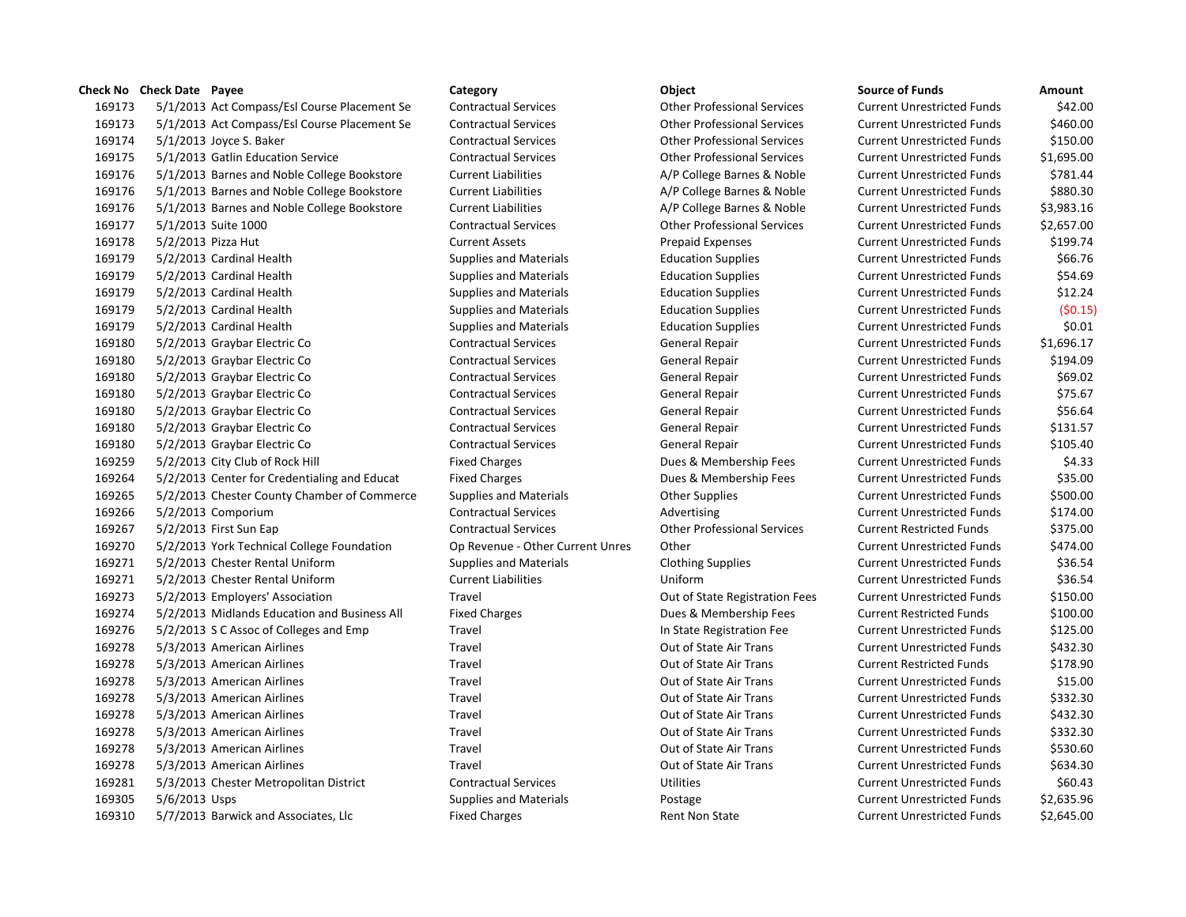# **Check No Check Date Payee Category Object Source of Funds Amount** 5/1/2013 Act Compass/Esl Course Placement Se Contractual Services Other Professional Services Current Unrestricted Funds \$42.00 5/1/2013 Act Compass/Esl Course Placement Se Contractual Services Other Professional Services Current Unrestricted Funds \$460.00 5/1/2013 Joyce S. Baker Contractual Services Other Professional Services Current Unrestricted Funds \$150.00 5/1/2013 Gatlin Education Service Contractual Services Other Professional Services Current Unrestricted Funds \$1,695.00 5/1/2013 Barnes and Noble College Bookstore Current Liabilities A/P College Barnes & Noble Current Unrestricted Funds \$781.44 5/1/2013 Barnes and Noble College Bookstore Current Liabilities A/P College Barnes & Noble Current Unrestricted Funds \$880.30 5/1/2013 Barnes and Noble College Bookstore Current Liabilities A/P College Barnes & Noble Current Unrestricted Funds \$3,983.16 5/1/2013 Suite 1000 Contractual Services Other Professional Services Current Unrestricted Funds \$2,657.00 5/2/2013 Pizza Hut Current Assets Prepaid Expenses Current Unrestricted Funds \$199.74 5/2/2013 Cardinal Health Supplies and Materials Education Supplies Current Unrestricted Funds \$66.76 5/2/2013 Cardinal Health Supplies and Materials Education Supplies Current Unrestricted Funds \$54.69 5/2/2013 Cardinal Health Supplies and Materials Education Supplies Current Unrestricted Funds \$12.24 5/2/2013 Cardinal Health Supplies and Materials Education Supplies Current Unrestricted Funds (\$0.15) 5/2/2013 Cardinal Health Supplies and Materials Education Supplies Current Unrestricted Funds \$0.01 5/2/2013 Graybar Electric Co Contractual Services General Repair Current Unrestricted Funds \$1,696.17 5/2/2013 Graybar Electric Co Contractual Services General Repair Current Unrestricted Funds \$194.09 5/2/2013 Graybar Electric Co Contractual Services General Repair Current Unrestricted Funds \$69.02 5/2/2013 Graybar Electric Co Contractual Services General Repair Current Unrestricted Funds \$75.67 5/2/2013 Graybar Electric Co Contractual Services General Repair Current Unrestricted Funds \$56.64 5/2/2013 Graybar Electric Co Contractual Services General Repair Current Unrestricted Funds \$131.57 5/2/2013 Graybar Electric Co Contractual Services General Repair Current Unrestricted Funds \$105.40 5/2/2013 City Club of Rock Hill Fixed Charges Dues & Membership Fees Current Unrestricted Funds \$4.33 5/2/2013 Center for Credentialing and Educat Fixed Charges Dues & Membership Fees Current Unrestricted Funds \$35.00 5/2/2013 Chester County Chamber of Commerce Supplies and Materials Other Supplies Current Unrestricted Funds \$500.00 169266 5/2/2013 Comporium Contractual Services Advertising Current Unrestricted Funds \$174.00 5/2/2013 First Sun Eap Contractual Services Other Professional Services Current Restricted Funds \$375.00 5/2/2013 York Technical College Foundation Op Revenue - Other Current Unres Other Current Unrestricted Funds \$474.00 5/2/2013 Chester Rental Uniform Supplies and Materials Clothing Supplies Current Unrestricted Funds \$36.54 5/2/2013 Chester Rental Uniform Current Liabilities Uniform Current Unrestricted Funds \$36.54 5/2/2013 Employers' Association Travel Out of State Registration Fees Current Unrestricted Funds \$150.00 5/2/2013 Midlands Education and Business All Fixed Charges Dues & Membership Fees Current Restricted Funds \$100.00 5/2/2013 S C Assoc of Colleges and Emp Travel In State Registration Fee Current Unrestricted Funds \$125.00 5/3/2013 American Airlines Travel Out of State Air Trans Current Unrestricted Funds \$432.30 5/3/2013 American Airlines Travel Out of State Air Trans Current Restricted Funds \$178.90 5/3/2013 American Airlines Travel Out of State Air Trans Current Unrestricted Funds \$15.00 5/3/2013 American Airlines Travel Out of State Air Trans Current Unrestricted Funds \$332.30 5/3/2013 American Airlines Travel Out of State Air Trans Current Unrestricted Funds \$432.30 5/3/2013 American Airlines Travel Out of State Air Trans Current Unrestricted Funds \$332.30 5/3/2013 American Airlines Travel Out of State Air Trans Current Unrestricted Funds \$530.60 5/3/2013 American Airlines Travel Out of State Air Trans Current Unrestricted Funds \$634.30 5/3/2013 Chester Metropolitan District Contractual Services Utilities Current Unrestricted Funds \$60.43 169305 5/6/2013 Usps Supplies and Materials Postage Postage Current Unrestricted Funds \$2,635.96 5/7/2013 Barwick and Associates, Llc Fixed Charges Rent Non State Current Unrestricted Funds \$2,645.00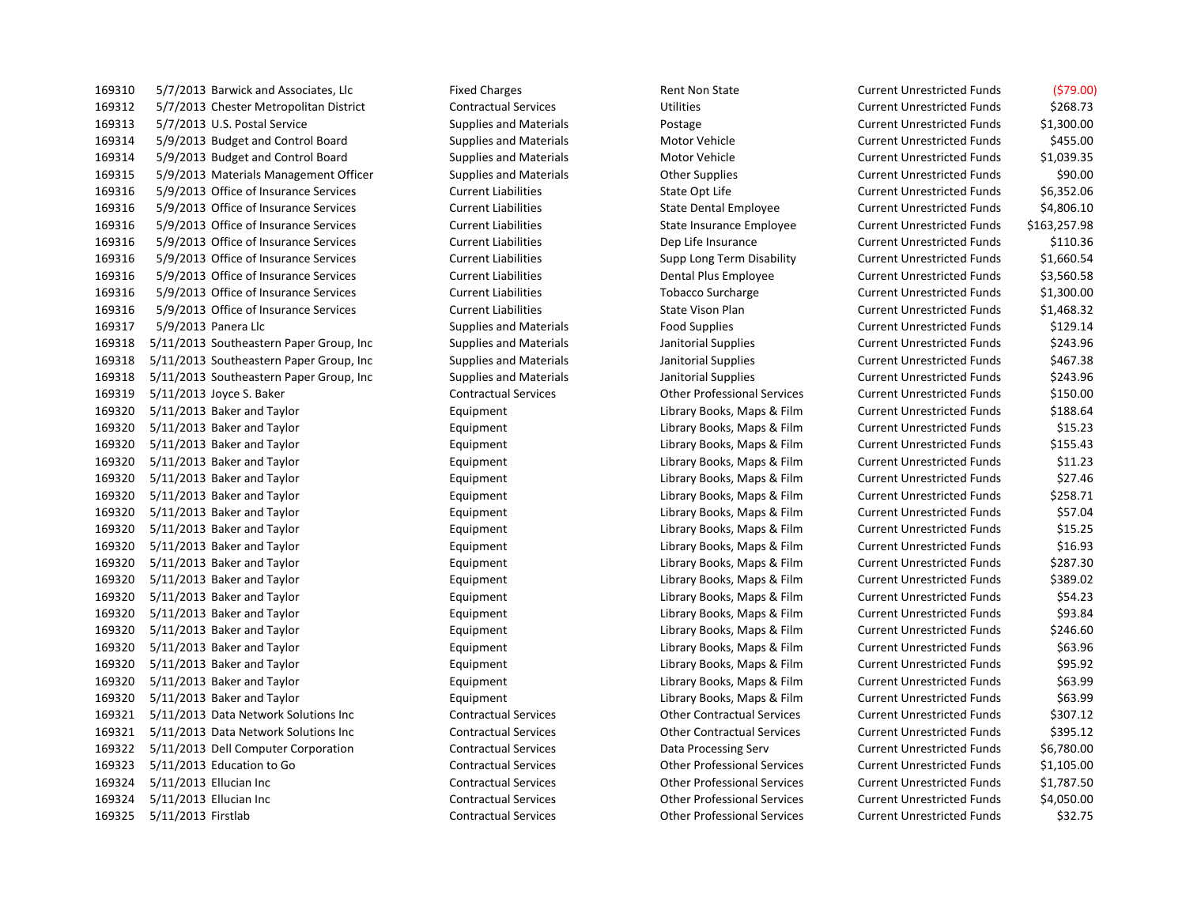5/7/2013 Barwick and Associates, Llc Fixed Charges Rent Non State Current Unrestricted Funds (\$79.00) 5/7/2013 Chester Metropolitan District Contractual Services Utilities Current Unrestricted Funds \$268.73 5/7/2013 U.S. Postal Service Supplies and Materials Postage Current Unrestricted Funds \$1,300.00 5/9/2013 Budget and Control Board Supplies and Materials Motor Vehicle Current Unrestricted Funds \$455.00 5/9/2013 Budget and Control Board Supplies and Materials Motor Vehicle Current Unrestricted Funds \$1,039.35 5/9/2013 Materials Management Officer Supplies and Materials Other Supplies Current Unrestricted Funds \$90.00 5/9/2013 Office of Insurance Services Current Liabilities State Opt Life Current Unrestricted Funds \$6,352.06 5/9/2013 Office of Insurance Services Current Liabilities State Dental Employee Current Unrestricted Funds \$4,806.10 5/9/2013 Office of Insurance Services Current Liabilities State Insurance Employee Current Unrestricted Funds \$163,257.98 5/9/2013 Office of Insurance Services Current Liabilities Dep Life Insurance Current Unrestricted Funds \$110.36 5/9/2013 Office of Insurance Services Current Liabilities Supp Long Term Disability Current Unrestricted Funds \$1,660.54 5/9/2013 Office of Insurance Services Current Liabilities Dental Plus Employee Current Unrestricted Funds \$3,560.58 5/9/2013 Office of Insurance Services Current Liabilities Tobacco Surcharge Current Unrestricted Funds \$1,300.00 5/9/2013 Office of Insurance Services Current Liabilities State Vison Plan Current Unrestricted Funds \$1,468.32 5/9/2013 Panera Llc Supplies and Materials Food Supplies Current Unrestricted Funds \$129.14 169318 5/11/2013 Southeastern Paper Group, Inc Supplies and Materials Janitorial Supplies Current Unrestricted Funds \$243.96 5/11/2013 Southeastern Paper Group, Inc Supplies and Materials Janitorial Supplies Current Unrestricted Funds \$467.38 169318 5/11/2013 Southeastern Paper Group, Inc Supplies and Materials Janitorial Supplies Current Unrestricted Funds \$243.96 5/11/2013 Joyce S. Baker Contractual Services Other Professional Services Current Unrestricted Funds \$150.00 5/11/2013 Baker and Taylor Equipment Library Books, Maps & Film Current Unrestricted Funds \$188.64 5/11/2013 Baker and Taylor Equipment Library Books, Maps & Film Current Unrestricted Funds \$15.23 5/11/2013 Baker and Taylor Equipment Library Books, Maps & Film Current Unrestricted Funds \$155.43 5/11/2013 Baker and Taylor Equipment Library Books, Maps & Film Current Unrestricted Funds \$11.23 5/11/2013 Baker and Taylor Equipment Library Books, Maps & Film Current Unrestricted Funds \$27.46 5/11/2013 Baker and Taylor Equipment Library Books, Maps & Film Current Unrestricted Funds \$258.71 5/11/2013 Baker and Taylor Equipment Library Books, Maps & Film Current Unrestricted Funds \$57.04 5/11/2013 Baker and Taylor Equipment Library Books, Maps & Film Current Unrestricted Funds \$15.25 5/11/2013 Baker and Taylor Equipment Library Books, Maps & Film Current Unrestricted Funds \$16.93 5/11/2013 Baker and Taylor Equipment Library Books, Maps & Film Current Unrestricted Funds \$287.30 5/11/2013 Baker and Taylor Equipment Library Books, Maps & Film Current Unrestricted Funds \$389.02 5/11/2013 Baker and Taylor Equipment Library Books, Maps & Film Current Unrestricted Funds \$54.23 5/11/2013 Baker and Taylor Equipment Library Books, Maps & Film Current Unrestricted Funds \$93.84 5/11/2013 Baker and Taylor Equipment Library Books, Maps & Film Current Unrestricted Funds \$246.60 5/11/2013 Baker and Taylor Equipment Library Books, Maps & Film Current Unrestricted Funds \$63.96 5/11/2013 Baker and Taylor Equipment Library Books, Maps & Film Current Unrestricted Funds \$95.92 5/11/2013 Baker and Taylor Equipment Library Books, Maps & Film Current Unrestricted Funds \$63.99 5/11/2013 Baker and Taylor Equipment Library Books, Maps & Film Current Unrestricted Funds \$63.99 5/11/2013 Data Network Solutions Inc Contractual Services Other Contractual Services Current Unrestricted Funds \$307.12 5/11/2013 Data Network Solutions Inc Contractual Services Other Contractual Services Current Unrestricted Funds \$395.12 5/11/2013 Dell Computer Corporation Contractual Services Data Processing Serv Current Unrestricted Funds \$6,780.00 5/11/2013 Education to Go Contractual Services Other Professional Services Current Unrestricted Funds \$1,105.00 5/11/2013 Ellucian Inc Contractual Services Other Professional Services Current Unrestricted Funds \$1,787.50 5/11/2013 Ellucian Inc Contractual Services Other Professional Services Current Unrestricted Funds \$4,050.00 5/11/2013 Firstlab Contractual Services Other Professional Services Current Unrestricted Funds \$32.75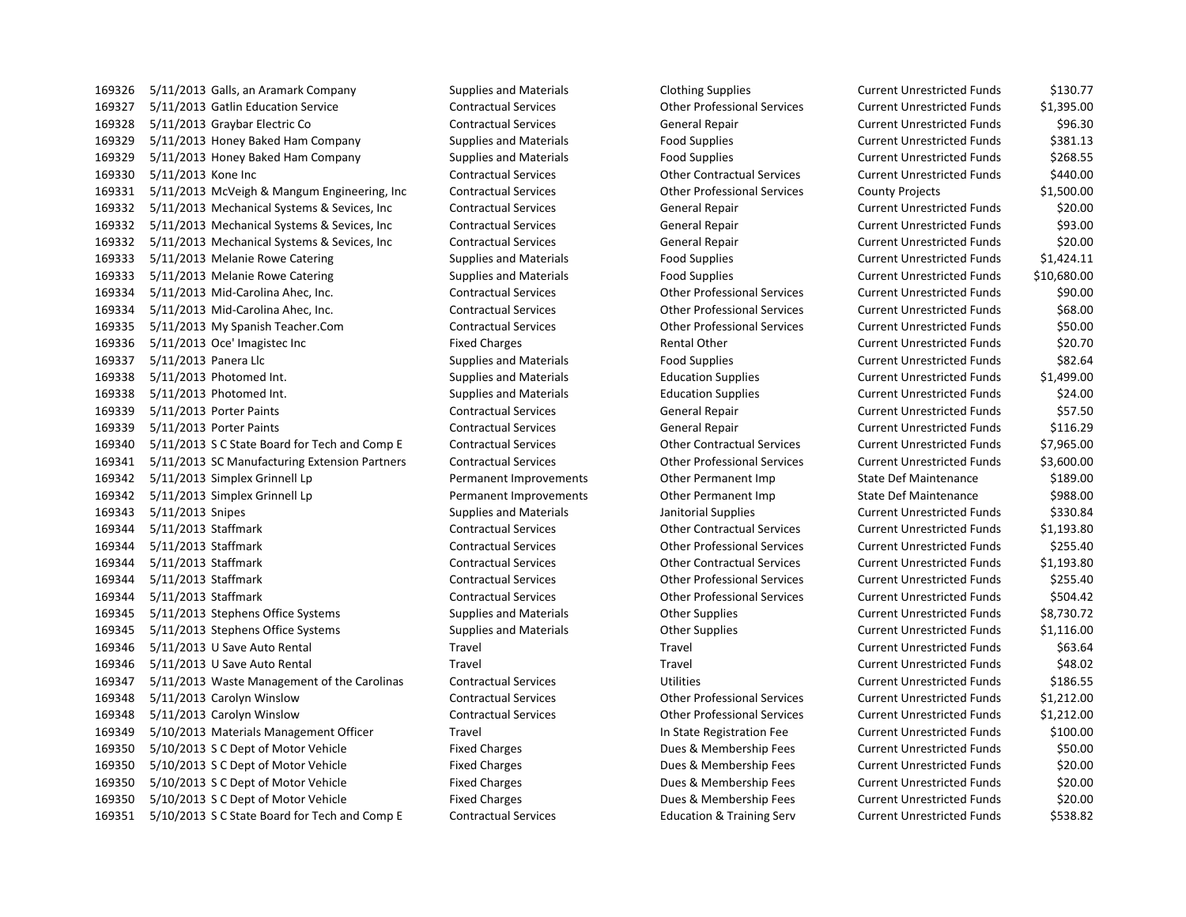5/11/2013 Galls, an Aramark Company Supplies and Materials Clothing Supplies Current Unrestricted Funds \$130.77 5/11/2013 Gatlin Education Service Contractual Services Other Professional Services Current Unrestricted Funds \$1,395.00 5/11/2013 Graybar Electric Co Contractual Services General Repair Current Unrestricted Funds \$96.30 5/11/2013 Honey Baked Ham Company Supplies and Materials Food Supplies Current Unrestricted Funds \$381.13 5/11/2013 Honey Baked Ham Company Supplies and Materials Food Supplies Current Unrestricted Funds \$268.55 5/11/2013 Kone Inc Contractual Services Other Contractual Services Current Unrestricted Funds \$440.00 5/11/2013 McVeigh & Mangum Engineering, Inc Contractual Services Other Professional Services County Projects \$1,500.00 5/11/2013 Mechanical Systems & Sevices, Inc Contractual Services General Repair Current Unrestricted Funds \$20.00 5/11/2013 Mechanical Systems & Sevices, Inc Contractual Services General Repair Current Unrestricted Funds \$93.00 5/11/2013 Mechanical Systems & Sevices, Inc Contractual Services General Repair Current Unrestricted Funds \$20.00 5/11/2013 Melanie Rowe Catering Supplies and Materials Food Supplies Current Unrestricted Funds \$1,424.11 5/11/2013 Melanie Rowe Catering Supplies and Materials Food Supplies Current Unrestricted Funds \$10,680.00 5/11/2013 Mid-Carolina Ahec, Inc. Contractual Services Other Professional Services Current Unrestricted Funds \$90.00 5/11/2013 Mid-Carolina Ahec, Inc. Contractual Services Other Professional Services Current Unrestricted Funds \$68.00 5/11/2013 My Spanish Teacher.Com Contractual Services Other Professional Services Current Unrestricted Funds \$50.00 169336 5/11/2013 Oce' Imagistec Inc **Fixed Charges** Fixed Charges Rental Other Current Unrestricted Funds \$20.70 5/11/2013 Panera Llc Supplies and Materials Food Supplies Current Unrestricted Funds \$82.64 5/11/2013 Photomed Int. Supplies and Materials Education Supplies Current Unrestricted Funds \$1,499.00 5/11/2013 Photomed Int. Supplies and Materials Education Supplies Current Unrestricted Funds \$24.00 5/11/2013 Porter Paints Contractual Services General Repair Current Unrestricted Funds \$57.50 5/11/2013 Porter Paints Contractual Services General Repair Current Unrestricted Funds \$116.29 5/11/2013 S C State Board for Tech and Comp E Contractual Services Other Contractual Services Current Unrestricted Funds \$7,965.00 5/11/2013 SC Manufacturing Extension Partners Contractual Services Other Professional Services Current Unrestricted Funds \$3,600.00 5/11/2013 Simplex Grinnell Lp Permanent Improvements Other Permanent Imp State Def Maintenance \$189.00 5/11/2013 Simplex Grinnell Lp Permanent Improvements Other Permanent Imp State Def Maintenance \$988.00 169343 5/11/2013 Snipes Supplies and Materials Janitorial Supplies Current Unrestricted Funds 5330.84 5/11/2013 Staffmark Contractual Services Other Contractual Services Current Unrestricted Funds \$1,193.80 5/11/2013 Staffmark Contractual Services Other Professional Services Current Unrestricted Funds \$255.40 5/11/2013 Staffmark Contractual Services Other Contractual Services Current Unrestricted Funds \$1,193.80 5/11/2013 Staffmark Contractual Services Other Professional Services Current Unrestricted Funds \$255.40 5/11/2013 Staffmark Contractual Services Other Professional Services Current Unrestricted Funds \$504.42 169345 5/11/2013 Stephens Office Systems Supplies and Materials Current Unrestricted Funds \$8,730.72 169345 5/11/2013 Stephens Office Systems Supplies and Materials Current Unrestricted Funds Supplies Current Unrestricted Funds \$1,116.00 5/11/2013 U Save Auto Rental Travel Travel Current Unrestricted Funds \$63.64 5/11/2013 U Save Auto Rental Travel Travel Current Unrestricted Funds \$48.02 5/11/2013 Waste Management of the Carolinas Contractual Services Utilities Current Unrestricted Funds \$186.55 5/11/2013 Carolyn Winslow Contractual Services Other Professional Services Current Unrestricted Funds \$1,212.00 5/11/2013 Carolyn Winslow Contractual Services Other Professional Services Current Unrestricted Funds \$1,212.00 5/10/2013 Materials Management Officer Travel In State Registration Fee Current Unrestricted Funds \$100.00 5/10/2013 S C Dept of Motor Vehicle Fixed Charges Dues & Membership Fees Current Unrestricted Funds \$50.00 5/10/2013 S C Dept of Motor Vehicle Fixed Charges Dues & Membership Fees Current Unrestricted Funds \$20.00 5/10/2013 S C Dept of Motor Vehicle Fixed Charges Dues & Membership Fees Current Unrestricted Funds \$20.00 5/10/2013 S C Dept of Motor Vehicle Fixed Charges Dues & Membership Fees Current Unrestricted Funds \$20.00

5/10/2013 S C State Board for Tech and Comp E Contractual Services Education & Training Serv Current Unrestricted Funds \$538.82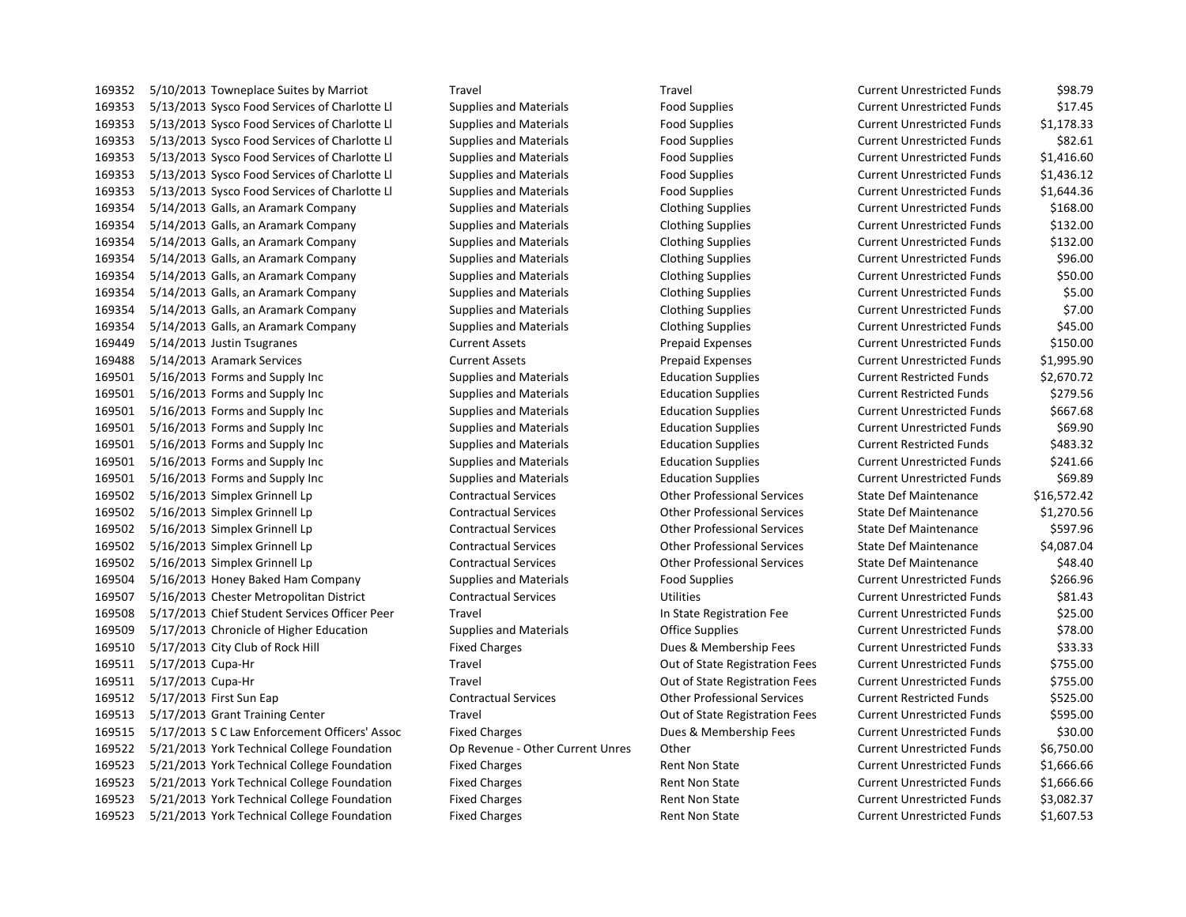5/10/2013 Towneplace Suites by Marriot Travel Travel Current Unrestricted Funds \$98.79 5/13/2013 Sysco Food Services of Charlotte Ll Supplies and Materials Food Supplies Current Unrestricted Funds \$17.45 5/13/2013 Sysco Food Services of Charlotte Ll Supplies and Materials Food Supplies Current Unrestricted Funds \$1,178.33 5/13/2013 Sysco Food Services of Charlotte Ll Supplies and Materials Food Supplies Current Unrestricted Funds \$82.61 5/13/2013 Sysco Food Services of Charlotte Ll Supplies and Materials Food Supplies Current Unrestricted Funds \$1,416.60 5/13/2013 Sysco Food Services of Charlotte Ll Supplies and Materials Food Supplies Current Unrestricted Funds \$1,436.12 5/13/2013 Sysco Food Services of Charlotte Ll Supplies and Materials Food Supplies Current Unrestricted Funds \$1,644.36 5/14/2013 Galls, an Aramark Company Supplies and Materials Clothing Supplies Current Unrestricted Funds \$168.00 5/14/2013 Galls, an Aramark Company Supplies and Materials Clothing Supplies Current Unrestricted Funds \$132.00 5/14/2013 Galls, an Aramark Company Supplies and Materials Clothing Supplies Current Unrestricted Funds \$132.00 5/14/2013 Galls, an Aramark Company Supplies and Materials Clothing Supplies Current Unrestricted Funds \$96.00 5/14/2013 Galls, an Aramark Company Supplies and Materials Clothing Supplies Current Unrestricted Funds \$50.00 5/14/2013 Galls, an Aramark Company Supplies and Materials Clothing Supplies Current Unrestricted Funds \$5.00 5/14/2013 Galls, an Aramark Company Supplies and Materials Clothing Supplies Current Unrestricted Funds \$7.00 5/14/2013 Galls, an Aramark Company Supplies and Materials Clothing Supplies Current Unrestricted Funds \$45.00 5/14/2013 Justin Tsugranes Current Assets Prepaid Expenses Current Unrestricted Funds \$150.00 5/14/2013 Aramark Services Current Assets Prepaid Expenses Current Unrestricted Funds \$1,995.90 5/16/2013 Forms and Supply Inc Supplies and Materials Education Supplies Current Restricted Funds \$2,670.72 5/16/2013 Forms and Supply Inc Supplies and Materials Education Supplies Current Restricted Funds \$279.56 5/16/2013 Forms and Supply Inc Supplies and Materials Education Supplies Current Unrestricted Funds \$667.68 5/16/2013 Forms and Supply Inc Supplies and Materials Education Supplies Current Unrestricted Funds \$69.90 5/16/2013 Forms and Supply Inc Supplies and Materials Education Supplies Current Restricted Funds \$483.32 5/16/2013 Forms and Supply Inc Supplies and Materials Education Supplies Current Unrestricted Funds \$241.66 5/16/2013 Forms and Supply Inc Supplies and Materials Education Supplies Current Unrestricted Funds \$69.89 5/16/2013 Simplex Grinnell Lp Contractual Services Other Professional Services State Def Maintenance \$16,572.42 5/16/2013 Simplex Grinnell Lp Contractual Services Other Professional Services State Def Maintenance \$1,270.56 5/16/2013 Simplex Grinnell Lp Contractual Services Other Professional Services State Def Maintenance \$597.96 5/16/2013 Simplex Grinnell Lp Contractual Services Other Professional Services State Def Maintenance \$4,087.04 5/16/2013 Simplex Grinnell Lp Contractual Services Other Professional Services State Def Maintenance \$48.40 5/16/2013 Honey Baked Ham Company Supplies and Materials Food Supplies Current Unrestricted Funds \$266.96 5/16/2013 Chester Metropolitan District Contractual Services Utilities Current Unrestricted Funds \$81.43 5/17/2013 Chief Student Services Officer Peer Travel In State Registration Fee Current Unrestricted Funds \$25.00 5/17/2013 Chronicle of Higher Education Supplies and Materials Office Supplies Current Unrestricted Funds \$78.00 5/17/2013 City Club of Rock Hill Fixed Charges Dues & Membership Fees Current Unrestricted Funds \$33.33 5/17/2013 Cupa-Hr Travel Out of State Registration Fees Current Unrestricted Funds \$755.00 5/17/2013 Cupa-Hr Travel Out of State Registration Fees Current Unrestricted Funds \$755.00 5/17/2013 First Sun Eap Contractual Services Other Professional Services Current Restricted Funds \$525.00 5/17/2013 Grant Training Center Travel Out of State Registration Fees Current Unrestricted Funds \$595.00 5/17/2013 S C Law Enforcement Officers' Assoc Fixed Charges Dues & Membership Fees Current Unrestricted Funds \$30.00 5/21/2013 York Technical College Foundation Op Revenue - Other Current Unres Other Current Unrestricted Funds \$6,750.00 5/21/2013 York Technical College Foundation Fixed Charges Rent Non State Current Unrestricted Funds \$1,666.66 5/21/2013 York Technical College Foundation Fixed Charges Rent Non State Current Unrestricted Funds \$1,666.66 5/21/2013 York Technical College Foundation Fixed Charges Rent Non State Current Unrestricted Funds \$3,082.37 5/21/2013 York Technical College Foundation Fixed Charges Rent Non State Current Unrestricted Funds \$1,607.53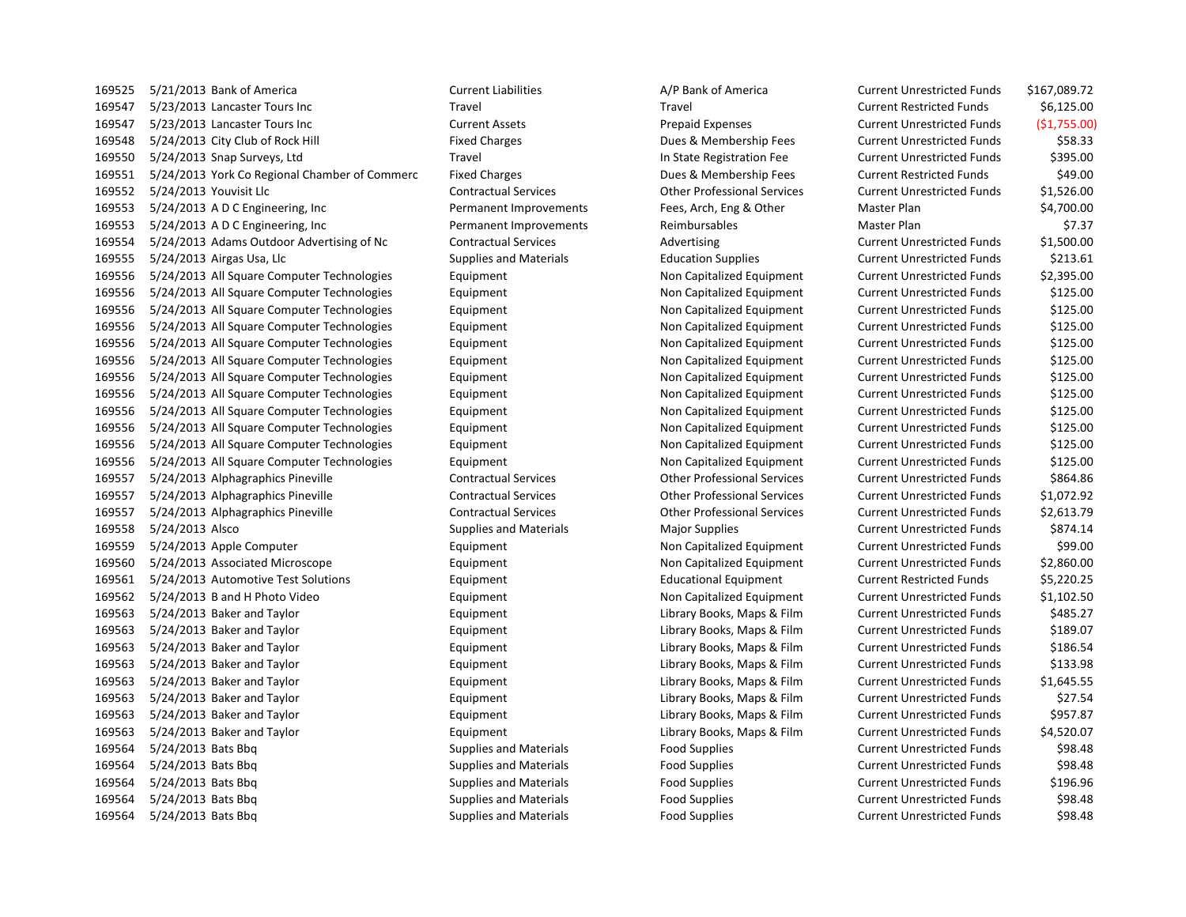| 169525 | 5/21/2013 Bank of America                     | <b>Current Liabilities</b>    | A/P Bank of America                | <b>Current Unrestricted Funds</b> | \$167,089.72 |
|--------|-----------------------------------------------|-------------------------------|------------------------------------|-----------------------------------|--------------|
| 169547 | 5/23/2013 Lancaster Tours Inc                 | Travel                        | Travel                             | <b>Current Restricted Funds</b>   | \$6,125.00   |
| 169547 | 5/23/2013 Lancaster Tours Inc                 | <b>Current Assets</b>         | <b>Prepaid Expenses</b>            | <b>Current Unrestricted Funds</b> | (51,755.00)  |
| 169548 | 5/24/2013 City Club of Rock Hill              | <b>Fixed Charges</b>          | Dues & Membership Fees             | <b>Current Unrestricted Funds</b> | \$58.33      |
| 169550 | 5/24/2013 Snap Surveys, Ltd                   | Travel                        | In State Registration Fee          | <b>Current Unrestricted Funds</b> | \$395.00     |
| 169551 | 5/24/2013 York Co Regional Chamber of Commerc | <b>Fixed Charges</b>          | Dues & Membership Fees             | <b>Current Restricted Funds</b>   | \$49.00      |
| 169552 | 5/24/2013 Youvisit Llc                        | <b>Contractual Services</b>   | <b>Other Professional Services</b> | <b>Current Unrestricted Funds</b> | \$1,526.00   |
| 169553 | 5/24/2013 ADC Engineering, Inc.               | Permanent Improvements        | Fees, Arch, Eng & Other            | Master Plan                       | \$4,700.00   |
| 169553 | 5/24/2013 ADC Engineering, Inc.               | Permanent Improvements        | Reimbursables                      | Master Plan                       | \$7.37       |
| 169554 | 5/24/2013 Adams Outdoor Advertising of Nc     | <b>Contractual Services</b>   | Advertising                        | <b>Current Unrestricted Funds</b> | \$1,500.00   |
| 169555 | 5/24/2013 Airgas Usa, Llc                     | <b>Supplies and Materials</b> | <b>Education Supplies</b>          | <b>Current Unrestricted Funds</b> | \$213.61     |
| 169556 | 5/24/2013 All Square Computer Technologies    | Equipment                     | Non Capitalized Equipment          | <b>Current Unrestricted Funds</b> | \$2,395.00   |
| 169556 | 5/24/2013 All Square Computer Technologies    | Equipment                     | Non Capitalized Equipment          | <b>Current Unrestricted Funds</b> | \$125.00     |
| 169556 | 5/24/2013 All Square Computer Technologies    | Equipment                     | Non Capitalized Equipment          | <b>Current Unrestricted Funds</b> | \$125.00     |
| 169556 | 5/24/2013 All Square Computer Technologies    | Equipment                     | Non Capitalized Equipment          | <b>Current Unrestricted Funds</b> | \$125.00     |
| 169556 | 5/24/2013 All Square Computer Technologies    | Equipment                     | Non Capitalized Equipment          | <b>Current Unrestricted Funds</b> | \$125.00     |
| 169556 | 5/24/2013 All Square Computer Technologies    | Equipment                     | Non Capitalized Equipment          | <b>Current Unrestricted Funds</b> | \$125.00     |
| 169556 | 5/24/2013 All Square Computer Technologies    | Equipment                     | Non Capitalized Equipment          | <b>Current Unrestricted Funds</b> | \$125.00     |
| 169556 | 5/24/2013 All Square Computer Technologies    | Equipment                     | Non Capitalized Equipment          | <b>Current Unrestricted Funds</b> | \$125.00     |
| 169556 | 5/24/2013 All Square Computer Technologies    | Equipment                     | Non Capitalized Equipment          | <b>Current Unrestricted Funds</b> | \$125.00     |
| 169556 | 5/24/2013 All Square Computer Technologies    | Equipment                     | Non Capitalized Equipment          | <b>Current Unrestricted Funds</b> | \$125.00     |
| 169556 | 5/24/2013 All Square Computer Technologies    | Equipment                     | Non Capitalized Equipment          | <b>Current Unrestricted Funds</b> | \$125.00     |
| 169556 | 5/24/2013 All Square Computer Technologies    | Equipment                     | Non Capitalized Equipment          | <b>Current Unrestricted Funds</b> | \$125.00     |
| 169557 | 5/24/2013 Alphagraphics Pineville             | <b>Contractual Services</b>   | <b>Other Professional Services</b> | <b>Current Unrestricted Funds</b> | \$864.86     |
| 169557 | 5/24/2013 Alphagraphics Pineville             | <b>Contractual Services</b>   | <b>Other Professional Services</b> | <b>Current Unrestricted Funds</b> | \$1,072.92   |
| 169557 | 5/24/2013 Alphagraphics Pineville             | <b>Contractual Services</b>   | <b>Other Professional Services</b> | <b>Current Unrestricted Funds</b> | \$2,613.79   |
| 169558 | 5/24/2013 Alsco                               | <b>Supplies and Materials</b> | Major Supplies                     | <b>Current Unrestricted Funds</b> | \$874.14     |
| 169559 | 5/24/2013 Apple Computer                      | Equipment                     | Non Capitalized Equipment          | <b>Current Unrestricted Funds</b> | \$99.00      |
| 169560 | 5/24/2013 Associated Microscope               | Equipment                     | Non Capitalized Equipment          | <b>Current Unrestricted Funds</b> | \$2,860.00   |
| 169561 | 5/24/2013 Automotive Test Solutions           | Equipment                     | <b>Educational Equipment</b>       | <b>Current Restricted Funds</b>   | \$5,220.25   |
| 169562 | 5/24/2013 B and H Photo Video                 | Equipment                     | Non Capitalized Equipment          | <b>Current Unrestricted Funds</b> | \$1,102.50   |
| 169563 | 5/24/2013 Baker and Taylor                    | Equipment                     | Library Books, Maps & Film         | <b>Current Unrestricted Funds</b> | \$485.27     |
| 169563 | 5/24/2013 Baker and Taylor                    | Equipment                     | Library Books, Maps & Film         | <b>Current Unrestricted Funds</b> | \$189.07     |
| 169563 | 5/24/2013 Baker and Taylor                    | Equipment                     | Library Books, Maps & Film         | <b>Current Unrestricted Funds</b> | \$186.54     |
| 169563 | 5/24/2013 Baker and Taylor                    | Equipment                     | Library Books, Maps & Film         | <b>Current Unrestricted Funds</b> | \$133.98     |
| 169563 | 5/24/2013 Baker and Taylor                    | Equipment                     | Library Books, Maps & Film         | <b>Current Unrestricted Funds</b> | \$1,645.55   |
| 169563 | 5/24/2013 Baker and Taylor                    | Equipment                     | Library Books, Maps & Film         | <b>Current Unrestricted Funds</b> | \$27.54      |
| 169563 | 5/24/2013 Baker and Taylor                    | Equipment                     | Library Books, Maps & Film         | <b>Current Unrestricted Funds</b> | \$957.87     |
| 169563 | 5/24/2013 Baker and Taylor                    | Equipment                     | Library Books, Maps & Film         | <b>Current Unrestricted Funds</b> | \$4,520.07   |
| 169564 | 5/24/2013 Bats Bbg                            | <b>Supplies and Materials</b> | <b>Food Supplies</b>               | <b>Current Unrestricted Funds</b> | \$98.48      |
| 169564 | 5/24/2013 Bats Bbq                            | <b>Supplies and Materials</b> | <b>Food Supplies</b>               | <b>Current Unrestricted Funds</b> | \$98.48      |
| 169564 | 5/24/2013 Bats Bbg                            | <b>Supplies and Materials</b> | <b>Food Supplies</b>               | <b>Current Unrestricted Funds</b> | \$196.96     |
| 169564 | 5/24/2013 Bats Bbg                            | <b>Supplies and Materials</b> | <b>Food Supplies</b>               | <b>Current Unrestricted Funds</b> | \$98.48      |
| 169564 | 5/24/2013 Bats Bbg                            | <b>Supplies and Materials</b> | <b>Food Supplies</b>               | <b>Current Unrestricted Funds</b> | \$98.48      |
|        |                                               |                               |                                    |                                   |              |

| Current Unrestricted Funds        | \$167,089.72 |
|-----------------------------------|--------------|
| <b>Current Restricted Funds</b>   | \$6,125.00   |
| <b>Current Unrestricted Funds</b> | (\$1,755.00) |
| <b>Current Unrestricted Funds</b> | \$58.33      |
| <b>Current Unrestricted Funds</b> | \$395.00     |
| <b>Current Restricted Funds</b>   | \$49.00      |
| <b>Current Unrestricted Funds</b> | \$1,526.00   |
| Master Plan                       | \$4,700.00   |
| Master Plan                       | \$7.37       |
| <b>Current Unrestricted Funds</b> | \$1,500.00   |
| <b>Current Unrestricted Funds</b> | \$213.61     |
| <b>Current Unrestricted Funds</b> | \$2,395.00   |
| <b>Current Unrestricted Funds</b> | \$125.00     |
| <b>Current Unrestricted Funds</b> | \$125.00     |
| <b>Current Unrestricted Funds</b> | \$125.00     |
| <b>Current Unrestricted Funds</b> | \$125.00     |
| <b>Current Unrestricted Funds</b> | \$125.00     |
| <b>Current Unrestricted Funds</b> | \$125.00     |
| <b>Current Unrestricted Funds</b> | \$125.00     |
| <b>Current Unrestricted Funds</b> | \$125.00     |
| <b>Current Unrestricted Funds</b> | \$125.00     |
| <b>Current Unrestricted Funds</b> | \$125.00     |
| <b>Current Unrestricted Funds</b> | \$125.00     |
| <b>Current Unrestricted Funds</b> | \$864.86     |
| <b>Current Unrestricted Funds</b> | \$1,072.92   |
| <b>Current Unrestricted Funds</b> | \$2,613.79   |
| <b>Current Unrestricted Funds</b> | \$874.14     |
| <b>Current Unrestricted Funds</b> | \$99.00      |
| <b>Current Unrestricted Funds</b> | \$2,860.00   |
| <b>Current Restricted Funds</b>   | \$5,220.25   |
| <b>Current Unrestricted Funds</b> | \$1,102.50   |
| <b>Current Unrestricted Funds</b> | \$485.27     |
| <b>Current Unrestricted Funds</b> | \$189.07     |
| <b>Current Unrestricted Funds</b> | \$186.54     |
| <b>Current Unrestricted Funds</b> | \$133.98     |
| <b>Current Unrestricted Funds</b> | \$1,645.55   |
| <b>Current Unrestricted Funds</b> | \$27.54      |
| <b>Current Unrestricted Funds</b> | \$957.87     |
| <b>Current Unrestricted Funds</b> | \$4,520.07   |
| <b>Current Unrestricted Funds</b> | \$98.48      |
| <b>Current Unrestricted Funds</b> | \$98.48      |
| <b>Current Unrestricted Funds</b> | \$196.96     |
| <b>Current Unrestricted Funds</b> | \$98.48      |
| <b>Current Unrestricted Funds</b> | \$98.48      |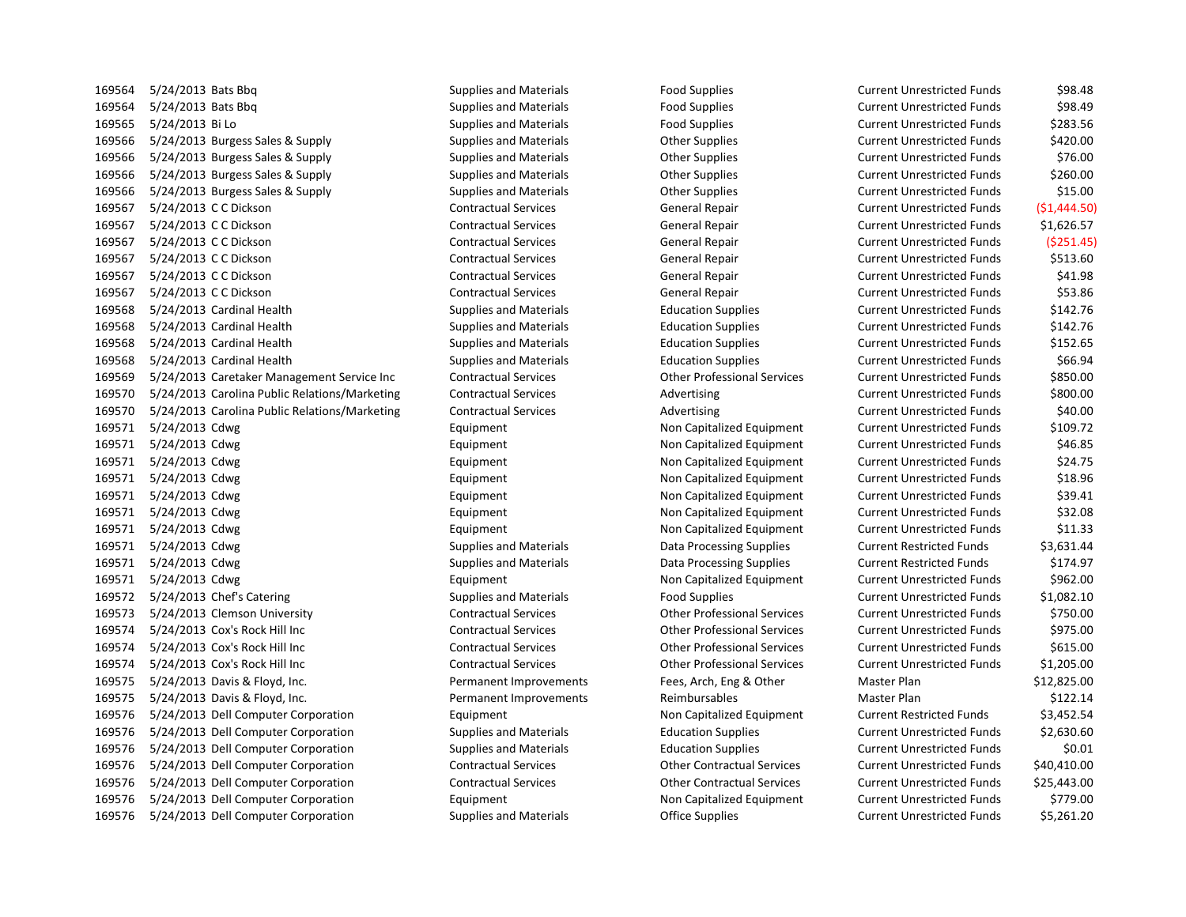5/24/2013 Bats Bbq Supplies and Materials Food Supplies Current Unrestricted Funds \$98.48 5/24/2013 Bats Bbq Supplies and Materials Food Supplies Current Unrestricted Funds \$98.49 169565 5/24/2013 Bi Lo Supplies and Materials Food Supplies Food Supplies Current Unrestricted Funds \$283.56 5/24/2013 Burgess Sales & Supply Supplies and Materials Other Supplies Current Unrestricted Funds \$420.00 5/24/2013 Burgess Sales & Supply Supplies and Materials Other Supplies Current Unrestricted Funds \$76.00 5/24/2013 Burgess Sales & Supply Supplies and Materials Other Supplies Current Unrestricted Funds \$260.00 5/24/2013 Burgess Sales & Supply Supplies and Materials Other Supplies Current Unrestricted Funds \$15.00 5/24/2013 C C Dickson Contractual Services General Repair Current Unrestricted Funds (\$1,444.50) 5/24/2013 C C Dickson Contractual Services General Repair Current Unrestricted Funds \$1,626.57 5/24/2013 C C Dickson Contractual Services General Repair Current Unrestricted Funds (\$251.45) 5/24/2013 C C Dickson Contractual Services General Repair Current Unrestricted Funds \$513.60 5/24/2013 C C Dickson Contractual Services General Repair Current Unrestricted Funds \$41.98 5/24/2013 C C Dickson Contractual Services General Repair Current Unrestricted Funds \$53.86 5/24/2013 Cardinal Health Supplies and Materials Education Supplies Current Unrestricted Funds \$142.76 5/24/2013 Cardinal Health Supplies and Materials Education Supplies Current Unrestricted Funds \$142.76 5/24/2013 Cardinal Health Supplies and Materials Education Supplies Current Unrestricted Funds \$152.65 5/24/2013 Cardinal Health Supplies and Materials Education Supplies Current Unrestricted Funds \$66.94 5/24/2013 Caretaker Management Service Inc Contractual Services Other Professional Services Current Unrestricted Funds \$850.00 169570 5/24/2013 Carolina Public Relations/Marketing Contractual Services Advertising Current Unrestricted Funds \$800.00 5/24/2013 Carolina Public Relations/Marketing Contractual Services Advertising Current Unrestricted Funds \$40.00 5/24/2013 Cdwg Equipment Non Capitalized Equipment Current Unrestricted Funds \$109.72 5/24/2013 Cdwg Equipment Non Capitalized Equipment Current Unrestricted Funds \$46.85 5/24/2013 Cdwg Equipment Non Capitalized Equipment Current Unrestricted Funds \$24.75 5/24/2013 Cdwg Equipment Non Capitalized Equipment Current Unrestricted Funds \$18.96 5/24/2013 Cdwg Equipment Non Capitalized Equipment Current Unrestricted Funds \$39.41 5/24/2013 Cdwg Equipment Non Capitalized Equipment Current Unrestricted Funds \$32.08 5/24/2013 Cdwg Equipment Non Capitalized Equipment Current Unrestricted Funds \$11.33 5/24/2013 Cdwg Supplies and Materials Data Processing Supplies Current Restricted Funds \$3,631.44 5/24/2013 Cdwg Supplies and Materials Data Processing Supplies Current Restricted Funds \$174.97 5/24/2013 Cdwg Equipment Non Capitalized Equipment Current Unrestricted Funds \$962.00 5/24/2013 Chef's Catering Supplies and Materials Food Supplies Current Unrestricted Funds \$1,082.10 5/24/2013 Clemson University Contractual Services Other Professional Services Current Unrestricted Funds \$750.00 5/24/2013 Cox's Rock Hill Inc Contractual Services Other Professional Services Current Unrestricted Funds \$975.00 5/24/2013 Cox's Rock Hill Inc Contractual Services Other Professional Services Current Unrestricted Funds \$615.00 5/24/2013 Cox's Rock Hill Inc Contractual Services Other Professional Services Current Unrestricted Funds \$1,205.00 5/24/2013 Davis & Floyd, Inc. Permanent Improvements Fees, Arch, Eng & Other Master Plan \$12,825.00 5/24/2013 Davis & Floyd, Inc. Permanent Improvements Reimbursables Master Plan \$122.14 5/24/2013 Dell Computer Corporation Equipment Non Capitalized Equipment Current Restricted Funds \$3,452.54 5/24/2013 Dell Computer Corporation Supplies and Materials Education Supplies Current Unrestricted Funds \$2,630.60 5/24/2013 Dell Computer Corporation Supplies and Materials Education Supplies Current Unrestricted Funds \$0.01 5/24/2013 Dell Computer Corporation Contractual Services Other Contractual Services Current Unrestricted Funds \$40,410.00 5/24/2013 Dell Computer Corporation Contractual Services Other Contractual Services Current Unrestricted Funds \$25,443.00 5/24/2013 Dell Computer Corporation Equipment Non Capitalized Equipment Current Unrestricted Funds \$779.00

5/24/2013 Dell Computer Corporation Supplies and Materials Office Supplies Current Unrestricted Funds \$5,261.20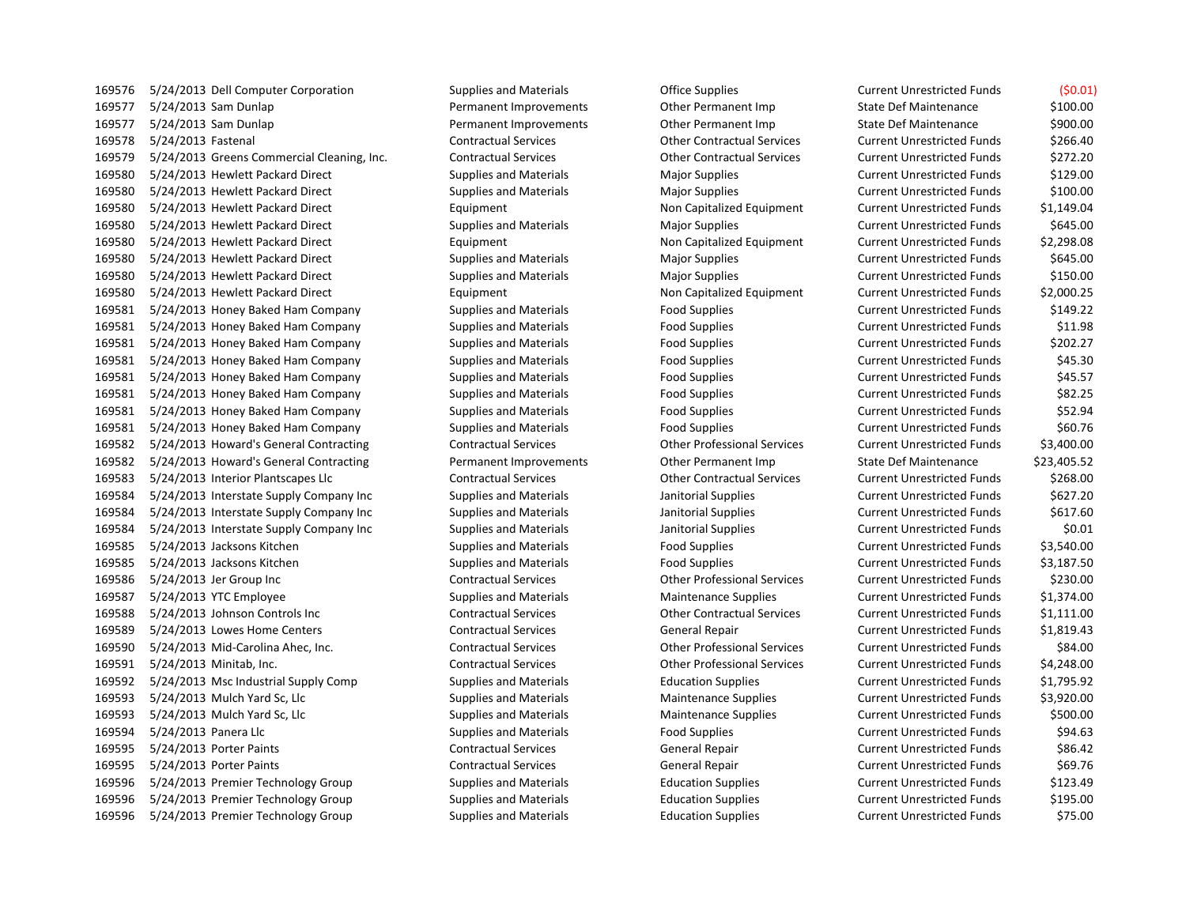5/24/2013 Dell Computer Corporation Supplies and Materials Office Supplies Current Unrestricted Funds (\$0.01) 5/24/2013 Sam Dunlap Permanent Improvements Other Permanent Imp State Def Maintenance \$100.00 169577 5/24/2013 Sam Dunlap **Permanent Improvements** Other Permanent Imp State Def Maintenance \$900.00 5/24/2013 Fastenal Contractual Services Other Contractual Services Current Unrestricted Funds \$266.40 5/24/2013 Greens Commercial Cleaning, Inc. Contractual Services Other Contractual Services Current Unrestricted Funds \$272.20 5/24/2013 Hewlett Packard Direct Supplies and Materials Major Supplies Current Unrestricted Funds \$129.00 5/24/2013 Hewlett Packard Direct Supplies and Materials Major Supplies Current Unrestricted Funds \$100.00 5/24/2013 Hewlett Packard Direct Equipment Non Capitalized Equipment Current Unrestricted Funds \$1,149.04 5/24/2013 Hewlett Packard Direct Supplies and Materials Major Supplies Current Unrestricted Funds \$645.00 5/24/2013 Hewlett Packard Direct Equipment Non Capitalized Equipment Current Unrestricted Funds \$2,298.08 5/24/2013 Hewlett Packard Direct Supplies and Materials Major Supplies Current Unrestricted Funds \$645.00 5/24/2013 Hewlett Packard Direct Supplies and Materials Major Supplies Current Unrestricted Funds \$150.00 5/24/2013 Hewlett Packard Direct Equipment Non Capitalized Equipment Current Unrestricted Funds \$2,000.25 5/24/2013 Honey Baked Ham Company Supplies and Materials Food Supplies Current Unrestricted Funds \$149.22 5/24/2013 Honey Baked Ham Company Supplies and Materials Food Supplies Current Unrestricted Funds \$11.98 5/24/2013 Honey Baked Ham Company Supplies and Materials Food Supplies Current Unrestricted Funds \$202.27 5/24/2013 Honey Baked Ham Company Supplies and Materials Food Supplies Current Unrestricted Funds \$45.30 5/24/2013 Honey Baked Ham Company Supplies and Materials Food Supplies Current Unrestricted Funds \$45.57 5/24/2013 Honey Baked Ham Company Supplies and Materials Food Supplies Current Unrestricted Funds \$82.25 5/24/2013 Honey Baked Ham Company Supplies and Materials Food Supplies Current Unrestricted Funds \$52.94 5/24/2013 Honey Baked Ham Company Supplies and Materials Food Supplies Current Unrestricted Funds \$60.76 5/24/2013 Howard's General Contracting Contractual Services Other Professional Services Current Unrestricted Funds \$3,400.00 5/24/2013 Howard's General Contracting Permanent Improvements Other Permanent Imp State Def Maintenance \$23,405.52 5/24/2013 Interior Plantscapes Llc Contractual Services Other Contractual Services Current Unrestricted Funds \$268.00 5/24/2013 Interstate Supply Company Inc Supplies and Materials Janitorial Supplies Current Unrestricted Funds \$627.20 5/24/2013 Interstate Supply Company Inc Supplies and Materials Janitorial Supplies Current Unrestricted Funds \$617.60 5/24/2013 Interstate Supply Company Inc Supplies and Materials Janitorial Supplies Current Unrestricted Funds \$0.01 5/24/2013 Jacksons Kitchen Supplies and Materials Food Supplies Current Unrestricted Funds \$3,540.00 5/24/2013 Jacksons Kitchen Supplies and Materials Food Supplies Current Unrestricted Funds \$3,187.50 5/24/2013 Jer Group Inc Contractual Services Other Professional Services Current Unrestricted Funds \$230.00 5/24/2013 YTC Employee Supplies and Materials Maintenance Supplies Current Unrestricted Funds \$1,374.00 5/24/2013 Johnson Controls Inc Contractual Services Other Contractual Services Current Unrestricted Funds \$1,111.00 5/24/2013 Lowes Home Centers Contractual Services General Repair Current Unrestricted Funds \$1,819.43 5/24/2013 Mid-Carolina Ahec, Inc. Contractual Services Other Professional Services Current Unrestricted Funds \$84.00 5/24/2013 Minitab, Inc. Contractual Services Other Professional Services Current Unrestricted Funds \$4,248.00 5/24/2013 Msc Industrial Supply Comp Supplies and Materials Education Supplies Current Unrestricted Funds \$1,795.92 5/24/2013 Mulch Yard Sc, Llc Supplies and Materials Maintenance Supplies Current Unrestricted Funds \$3,920.00 5/24/2013 Mulch Yard Sc, Llc Supplies and Materials Maintenance Supplies Current Unrestricted Funds \$500.00 5/24/2013 Panera Llc Supplies and Materials Food Supplies Current Unrestricted Funds \$94.63 5/24/2013 Porter Paints Contractual Services General Repair Current Unrestricted Funds \$86.42 5/24/2013 Porter Paints Contractual Services General Repair Current Unrestricted Funds \$69.76 5/24/2013 Premier Technology Group Supplies and Materials Education Supplies Current Unrestricted Funds \$123.49 5/24/2013 Premier Technology Group Supplies and Materials Education Supplies Current Unrestricted Funds \$195.00 5/24/2013 Premier Technology Group Supplies and Materials Education Supplies Current Unrestricted Funds \$75.00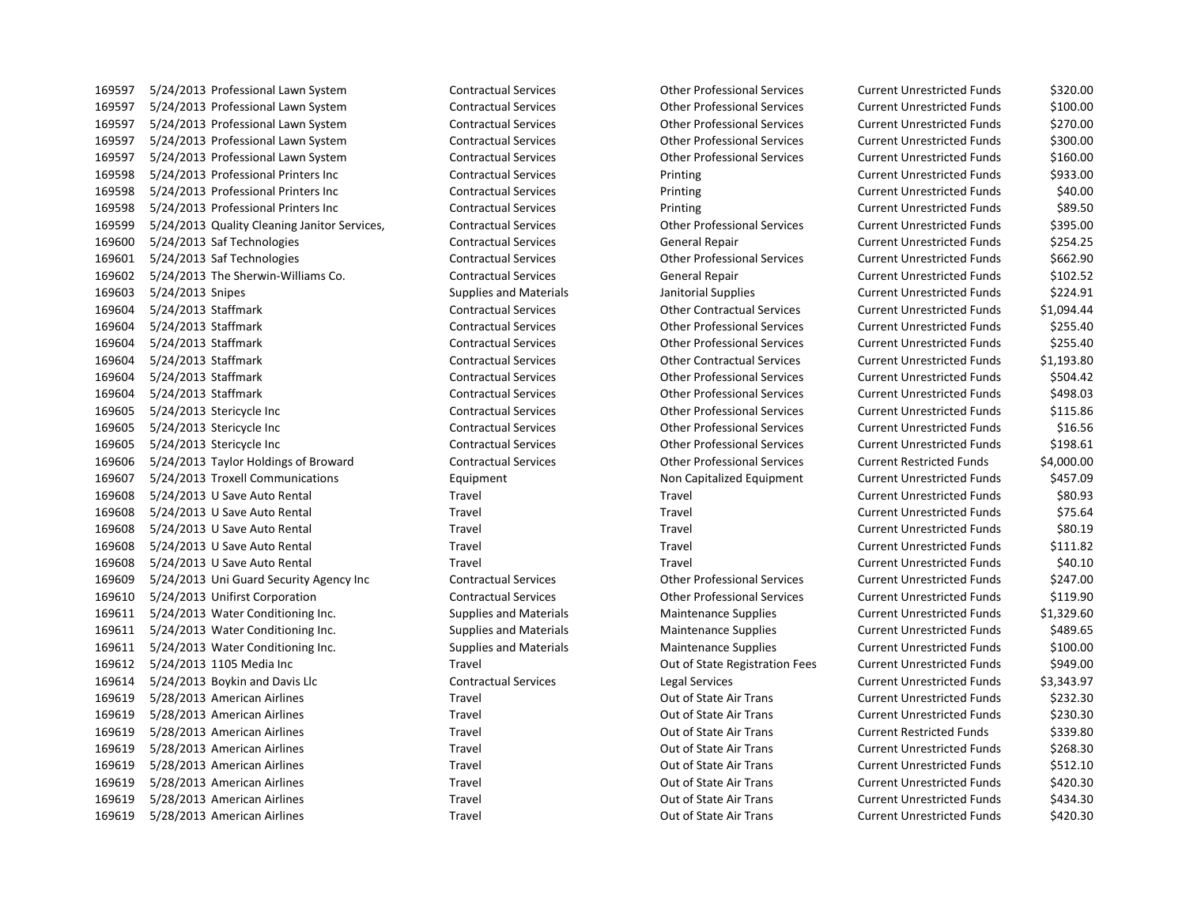5/24/2013 Professional Lawn System Contractual Services Other Professional Services Current Unrestricted Funds \$320.00 5/24/2013 Professional Lawn System Contractual Services Other Professional Services Current Unrestricted Funds \$100.00 5/24/2013 Professional Lawn System Contractual Services Other Professional Services Current Unrestricted Funds \$270.00 5/24/2013 Professional Lawn System Contractual Services Other Professional Services Current Unrestricted Funds \$300.00 5/24/2013 Professional Lawn System Contractual Services Other Professional Services Current Unrestricted Funds \$160.00 5/24/2013 Professional Printers Inc Contractual Services Printing Current Unrestricted Funds \$933.00 5/24/2013 Professional Printers Inc Contractual Services Printing Current Unrestricted Funds \$40.00 5/24/2013 Professional Printers Inc Contractual Services Printing Current Unrestricted Funds \$89.50 5/24/2013 Quality Cleaning Janitor Services, Contractual Services Other Professional Services Current Unrestricted Funds \$395.00 5/24/2013 Saf Technologies Contractual Services General Repair Current Unrestricted Funds \$254.25 5/24/2013 Saf Technologies Contractual Services Other Professional Services Current Unrestricted Funds \$662.90 5/24/2013 The Sherwin-Williams Co. Contractual Services General Repair Current Unrestricted Funds \$102.52 5/24/2013 Snipes Supplies and Materials Janitorial Supplies Current Unrestricted Funds \$224.91 5/24/2013 Staffmark Contractual Services Other Contractual Services Current Unrestricted Funds \$1,094.44 5/24/2013 Staffmark Contractual Services Other Professional Services Current Unrestricted Funds \$255.40 5/24/2013 Staffmark Contractual Services Other Professional Services Current Unrestricted Funds \$255.40 5/24/2013 Staffmark Contractual Services Other Contractual Services Current Unrestricted Funds \$1,193.80 5/24/2013 Staffmark Contractual Services Other Professional Services Current Unrestricted Funds \$504.42 5/24/2013 Staffmark Contractual Services Other Professional Services Current Unrestricted Funds \$498.03 5/24/2013 Stericycle Inc Contractual Services Other Professional Services Current Unrestricted Funds \$115.86 5/24/2013 Stericycle Inc Contractual Services Other Professional Services Current Unrestricted Funds \$16.56 5/24/2013 Stericycle Inc Contractual Services Other Professional Services Current Unrestricted Funds \$198.61 5/24/2013 Taylor Holdings of Broward Contractual Services Other Professional Services Current Restricted Funds \$4,000.00 5/24/2013 Troxell Communications Equipment Non Capitalized Equipment Current Unrestricted Funds \$457.09 5/24/2013 U Save Auto Rental Travel Travel Current Unrestricted Funds \$80.93 5/24/2013 U Save Auto Rental Travel Travel Current Unrestricted Funds \$75.64 5/24/2013 U Save Auto Rental Travel Travel Current Unrestricted Funds \$80.19 5/24/2013 U Save Auto Rental Travel Travel Current Unrestricted Funds \$111.82 5/24/2013 U Save Auto Rental Travel Travel Current Unrestricted Funds \$40.10 5/24/2013 Uni Guard Security Agency Inc Contractual Services Other Professional Services Current Unrestricted Funds \$247.00 5/24/2013 Unifirst Corporation Contractual Services Other Professional Services Current Unrestricted Funds \$119.90 5/24/2013 Water Conditioning Inc. Supplies and Materials Maintenance Supplies Current Unrestricted Funds \$1,329.60 5/24/2013 Water Conditioning Inc. Supplies and Materials Maintenance Supplies Current Unrestricted Funds \$489.65 5/24/2013 Water Conditioning Inc. Supplies and Materials Maintenance Supplies Current Unrestricted Funds \$100.00 5/24/2013 1105 Media Inc Travel Out of State Registration Fees Current Unrestricted Funds \$949.00 5/24/2013 Boykin and Davis Llc Contractual Services Legal Services Current Unrestricted Funds \$3,343.97 5/28/2013 American Airlines Travel Out of State Air Trans Current Unrestricted Funds \$232.30 5/28/2013 American Airlines Travel Out of State Air Trans Current Unrestricted Funds \$230.30 5/28/2013 American Airlines Travel Out of State Air Trans Current Restricted Funds \$339.80 5/28/2013 American Airlines Travel Out of State Air Trans Current Unrestricted Funds \$268.30 5/28/2013 American Airlines Travel Out of State Air Trans Current Unrestricted Funds \$512.10 5/28/2013 American Airlines Travel Out of State Air Trans Current Unrestricted Funds \$420.30 5/28/2013 American Airlines Travel Out of State Air Trans Current Unrestricted Funds \$434.30 5/28/2013 American Airlines Travel Out of State Air Trans Current Unrestricted Funds \$420.30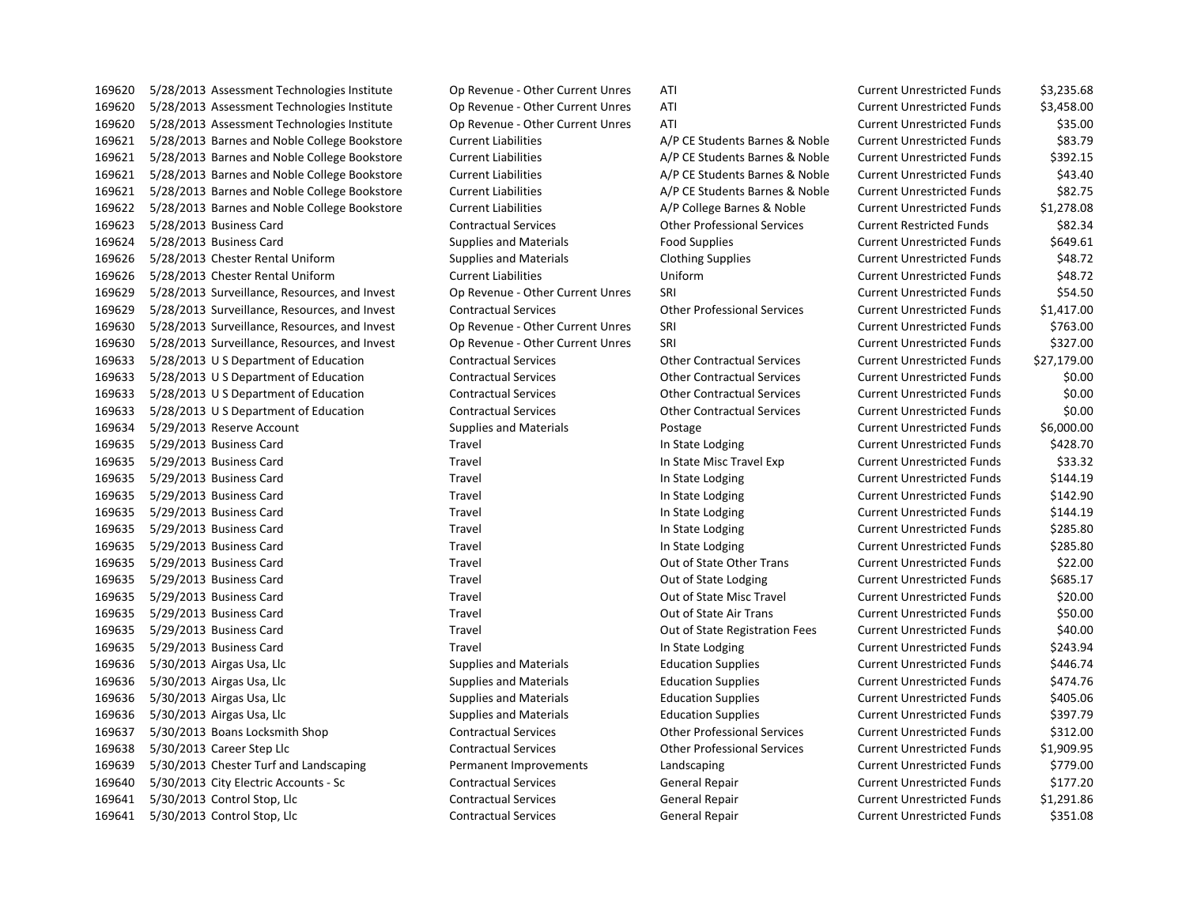5/28/2013 Assessment Technologies Institute Op Revenue - Other Current Unres ATI Current Unrestricted Funds \$3,235.68 5/28/2013 Assessment Technologies Institute Op Revenue - Other Current Unres ATI Current Unrestricted Funds \$3,458.00 5/28/2013 Assessment Technologies Institute Op Revenue - Other Current Unres ATI Current Unrestricted Funds \$35.00 5/28/2013 Barnes and Noble College Bookstore Current Liabilities A/P CE Students Barnes & Noble Current Unrestricted Funds \$83.79 5/28/2013 Barnes and Noble College Bookstore Current Liabilities A/P CE Students Barnes & Noble Current Unrestricted Funds \$392.15 5/28/2013 Barnes and Noble College Bookstore Current Liabilities A/P CE Students Barnes & Noble Current Unrestricted Funds \$43.40 5/28/2013 Barnes and Noble College Bookstore Current Liabilities A/P CE Students Barnes & Noble Current Unrestricted Funds \$82.75 5/28/2013 Barnes and Noble College Bookstore Current Liabilities A/P College Barnes & Noble Current Unrestricted Funds \$1,278.08 5/28/2013 Business Card Contractual Services Other Professional Services Current Restricted Funds \$82.34 5/28/2013 Business Card Supplies and Materials Food Supplies Current Unrestricted Funds \$649.61 5/28/2013 Chester Rental Uniform Supplies and Materials Clothing Supplies Current Unrestricted Funds \$48.72 5/28/2013 Chester Rental Uniform Current Liabilities Uniform Current Unrestricted Funds \$48.72 5/28/2013 Surveillance, Resources, and Invest Op Revenue - Other Current Unres SRI Current Unrestricted Funds \$54.50 5/28/2013 Surveillance, Resources, and Invest Contractual Services Other Professional Services Current Unrestricted Funds \$1,417.00 5/28/2013 Surveillance, Resources, and Invest Op Revenue - Other Current Unres SRI Current Unrestricted Funds \$763.00 5/28/2013 Surveillance, Resources, and Invest Op Revenue - Other Current Unres SRI Current Unrestricted Funds \$327.00 5/28/2013 U S Department of Education Contractual Services Other Contractual Services Current Unrestricted Funds \$27,179.00 5/28/2013 U S Department of Education Contractual Services Other Contractual Services Current Unrestricted Funds \$0.00 5/28/2013 U S Department of Education Contractual Services Other Contractual Services Current Unrestricted Funds \$0.00 5/28/2013 U S Department of Education Contractual Services Other Contractual Services Current Unrestricted Funds \$0.00 5/29/2013 Reserve Account Supplies and Materials Postage Current Unrestricted Funds \$6,000.00 5/29/2013 Business Card Travel In State Lodging Current Unrestricted Funds \$428.70 5/29/2013 Business Card Travel In State Misc Travel Exp Current Unrestricted Funds \$33.32 5/29/2013 Business Card Travel In State Lodging Current Unrestricted Funds \$144.19 5/29/2013 Business Card Travel In State Lodging Current Unrestricted Funds \$142.90 5/29/2013 Business Card Travel In State Lodging Current Unrestricted Funds \$144.19 5/29/2013 Business Card Travel In State Lodging Current Unrestricted Funds \$285.80 5/29/2013 Business Card Travel In State Lodging Current Unrestricted Funds \$285.80 5/29/2013 Business Card Travel Out of State Other Trans Current Unrestricted Funds \$22.00 5/29/2013 Business Card Travel Out of State Lodging Current Unrestricted Funds \$685.17 5/29/2013 Business Card Travel Out of State Misc Travel Current Unrestricted Funds \$20.00 5/29/2013 Business Card Travel Out of State Air Trans Current Unrestricted Funds \$50.00 5/29/2013 Business Card Travel Out of State Registration Fees Current Unrestricted Funds \$40.00 5/29/2013 Business Card Travel In State Lodging Current Unrestricted Funds \$243.94 5/30/2013 Airgas Usa, Llc Supplies and Materials Education Supplies Current Unrestricted Funds \$446.74 5/30/2013 Airgas Usa, Llc Supplies and Materials Education Supplies Current Unrestricted Funds \$474.76 5/30/2013 Airgas Usa, Llc Supplies and Materials Education Supplies Current Unrestricted Funds \$405.06 5/30/2013 Airgas Usa, Llc Supplies and Materials Education Supplies Current Unrestricted Funds \$397.79 5/30/2013 Boans Locksmith Shop Contractual Services Other Professional Services Current Unrestricted Funds \$312.00 5/30/2013 Career Step Llc Contractual Services Other Professional Services Current Unrestricted Funds \$1,909.95 5/30/2013 Chester Turf and Landscaping Permanent Improvements Landscaping Current Unrestricted Funds \$779.00 5/30/2013 City Electric Accounts - Sc Contractual Services General Repair Current Unrestricted Funds \$177.20 5/30/2013 Control Stop, Llc Contractual Services General Repair Current Unrestricted Funds \$1,291.86 5/30/2013 Control Stop, Llc Contractual Services General Repair Current Unrestricted Funds \$351.08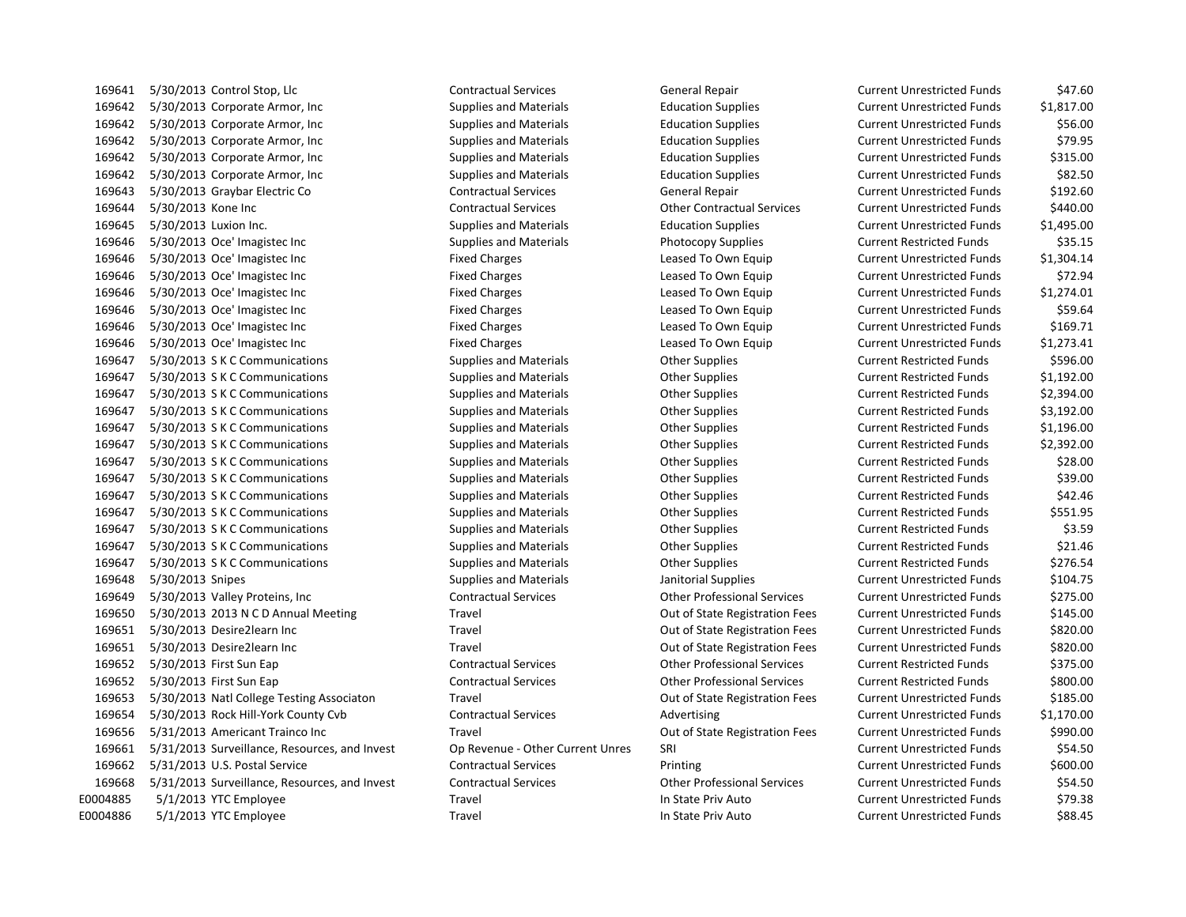5/30/2013 Control Stop, Llc Contractual Services General Repair Current Unrestricted Funds \$47.60 5/30/2013 Corporate Armor, Inc Supplies and Materials Education Supplies Current Unrestricted Funds \$1,817.00 5/30/2013 Corporate Armor, Inc Supplies and Materials Education Supplies Current Unrestricted Funds \$56.00 5/30/2013 Corporate Armor, Inc Supplies and Materials Education Supplies Current Unrestricted Funds \$79.95 169642 5/30/2013 Corporate Armor, Inc Supplies and Materials Education Supplies Current Unrestricted Funds \$315.00 5/30/2013 Corporate Armor, Inc Supplies and Materials Education Supplies Current Unrestricted Funds \$82.50 5/30/2013 Graybar Electric Co Contractual Services General Repair Current Unrestricted Funds \$192.60 5/30/2013 Kone Inc Contractual Services Other Contractual Services Current Unrestricted Funds \$440.00 5/30/2013 Luxion Inc. Supplies and Materials Education Supplies Current Unrestricted Funds \$1,495.00 5/30/2013 Oce' Imagistec Inc Supplies and Materials Photocopy Supplies Current Restricted Funds \$35.15 5/30/2013 Oce' Imagistec Inc Fixed Charges Leased To Own Equip Current Unrestricted Funds \$1,304.14 5/30/2013 Oce' Imagistec Inc Fixed Charges Leased To Own Equip Current Unrestricted Funds \$72.94 5/30/2013 Oce' Imagistec Inc Fixed Charges Leased To Own Equip Current Unrestricted Funds \$1,274.01 5/30/2013 Oce' Imagistec Inc Fixed Charges Leased To Own Equip Current Unrestricted Funds \$59.64 5/30/2013 Oce' Imagistec Inc Fixed Charges Leased To Own Equip Current Unrestricted Funds \$169.71 5/30/2013 Oce' Imagistec Inc Fixed Charges Leased To Own Equip Current Unrestricted Funds \$1,273.41 5/30/2013 S K C Communications Supplies and Materials Other Supplies Current Restricted Funds \$596.00 5/30/2013 S K C Communications Supplies and Materials Other Supplies Current Restricted Funds \$1,192.00 5/30/2013 S K C Communications Supplies and Materials Other Supplies Current Restricted Funds \$2,394.00 5/30/2013 S K C Communications Supplies and Materials Other Supplies Current Restricted Funds \$3,192.00 5/30/2013 S K C Communications Supplies and Materials Other Supplies Current Restricted Funds \$1,196.00 5/30/2013 S K C Communications Supplies and Materials Other Supplies Current Restricted Funds \$2,392.00 5/30/2013 S K C Communications Supplies and Materials Other Supplies Current Restricted Funds \$28.00 5/30/2013 S K C Communications Supplies and Materials Other Supplies Current Restricted Funds \$39.00 5/30/2013 S K C Communications Supplies and Materials Other Supplies Current Restricted Funds \$42.46 5/30/2013 S K C Communications Supplies and Materials Other Supplies Current Restricted Funds \$551.95 5/30/2013 S K C Communications Supplies and Materials Other Supplies Current Restricted Funds \$3.59 5/30/2013 S K C Communications Supplies and Materials Other Supplies Current Restricted Funds \$21.46 5/30/2013 S K C Communications Supplies and Materials Other Supplies Current Restricted Funds \$276.54 5/30/2013 Snipes Supplies and Materials Janitorial Supplies Current Unrestricted Funds \$104.75 5/30/2013 Valley Proteins, Inc Contractual Services Other Professional Services Current Unrestricted Funds \$275.00 5/30/2013 2013 N C D Annual Meeting Travel Out of State Registration Fees Current Unrestricted Funds \$145.00 5/30/2013 Desire2learn Inc Travel Out of State Registration Fees Current Unrestricted Funds \$820.00 5/30/2013 Desire2learn Inc Travel Out of State Registration Fees Current Unrestricted Funds \$820.00 5/30/2013 First Sun Eap Contractual Services Other Professional Services Current Restricted Funds \$375.00 5/30/2013 First Sun Eap Contractual Services Other Professional Services Current Restricted Funds \$800.00 5/30/2013 Natl College Testing Associaton Travel Out of State Registration Fees Current Unrestricted Funds \$185.00 169654 5/30/2013 Rock Hill-York County Cvb Contractual Services Advertising Current Unrestricted Funds \$1,170.00 5/31/2013 Americant Trainco Inc Travel Out of State Registration Fees Current Unrestricted Funds \$990.00 5/31/2013 Surveillance, Resources, and Invest Op Revenue - Other Current Unres SRI Current Unrestricted Funds \$54.50 5/31/2013 U.S. Postal Service Contractual Services Printing Current Unrestricted Funds \$600.00 5/31/2013 Surveillance, Resources, and Invest Contractual Services Other Professional Services Current Unrestricted Funds \$54.50 E0004885 5/1/2013 YTC Employee Travel Travel Travel In State Priv Auto Current Unrestricted Funds \$79.38 E0004886 5/1/2013 YTC Employee Travel Travel Travel In State Priv Auto Current Unrestricted Funds \$88.45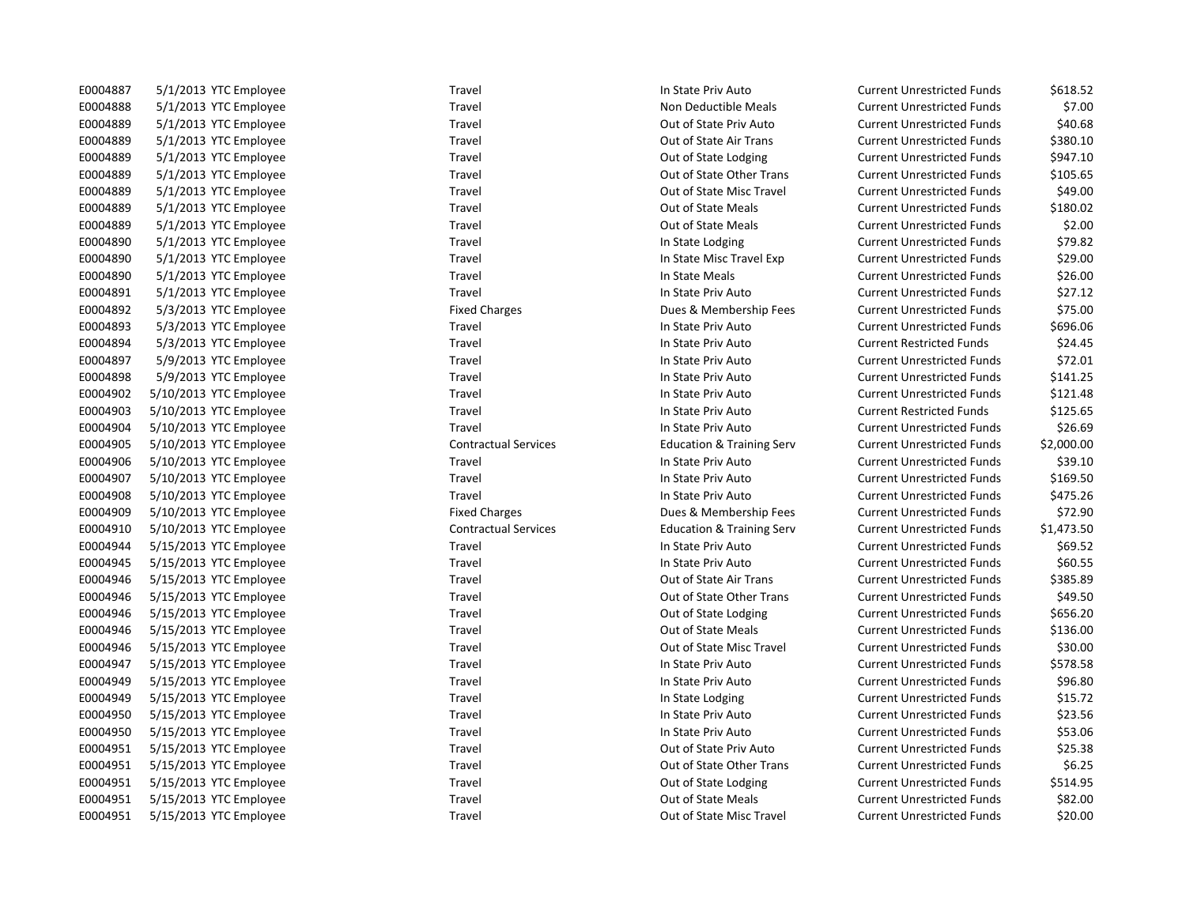| E0004887 | 5/1/2013 YTC Employee  | Travel                      | In State Priv Auto                   | <b>Current Unrestricted Funds</b> | \$618.52   |
|----------|------------------------|-----------------------------|--------------------------------------|-----------------------------------|------------|
| E0004888 | 5/1/2013 YTC Employee  | Travel                      | Non Deductible Meals                 | <b>Current Unrestricted Funds</b> | \$7.00     |
| E0004889 | 5/1/2013 YTC Employee  | Travel                      | Out of State Priv Auto               | <b>Current Unrestricted Funds</b> | \$40.68    |
| E0004889 | 5/1/2013 YTC Employee  | Travel                      | Out of State Air Trans               | <b>Current Unrestricted Funds</b> | \$380.10   |
| E0004889 | 5/1/2013 YTC Employee  | Travel                      | Out of State Lodging                 | <b>Current Unrestricted Funds</b> | \$947.10   |
| E0004889 | 5/1/2013 YTC Employee  | Travel                      | Out of State Other Trans             | <b>Current Unrestricted Funds</b> | \$105.65   |
| E0004889 | 5/1/2013 YTC Employee  | Travel                      | Out of State Misc Travel             | <b>Current Unrestricted Funds</b> | \$49.00    |
| E0004889 | 5/1/2013 YTC Employee  | Travel                      | Out of State Meals                   | <b>Current Unrestricted Funds</b> | \$180.02   |
| E0004889 | 5/1/2013 YTC Employee  | Travel                      | Out of State Meals                   | <b>Current Unrestricted Funds</b> | \$2.00     |
| E0004890 | 5/1/2013 YTC Employee  | Travel                      | In State Lodging                     | <b>Current Unrestricted Funds</b> | \$79.82    |
| E0004890 | 5/1/2013 YTC Employee  | Travel                      | In State Misc Travel Exp             | <b>Current Unrestricted Funds</b> | \$29.00    |
| E0004890 | 5/1/2013 YTC Employee  | Travel                      | In State Meals                       | <b>Current Unrestricted Funds</b> | \$26.00    |
| E0004891 | 5/1/2013 YTC Employee  | Travel                      | In State Priv Auto                   | <b>Current Unrestricted Funds</b> | \$27.12    |
| E0004892 | 5/3/2013 YTC Employee  | <b>Fixed Charges</b>        | Dues & Membership Fees               | <b>Current Unrestricted Funds</b> | \$75.00    |
| E0004893 | 5/3/2013 YTC Employee  | Travel                      | In State Priv Auto                   | <b>Current Unrestricted Funds</b> | \$696.06   |
| E0004894 | 5/3/2013 YTC Employee  | Travel                      | In State Priv Auto                   | <b>Current Restricted Funds</b>   | \$24.45    |
| E0004897 | 5/9/2013 YTC Employee  | Travel                      | In State Priv Auto                   | <b>Current Unrestricted Funds</b> | \$72.01    |
| E0004898 | 5/9/2013 YTC Employee  | Travel                      | In State Priv Auto                   | <b>Current Unrestricted Funds</b> | \$141.25   |
| E0004902 | 5/10/2013 YTC Employee | Travel                      | In State Priv Auto                   | <b>Current Unrestricted Funds</b> | \$121.48   |
| E0004903 | 5/10/2013 YTC Employee | Travel                      | In State Priv Auto                   | <b>Current Restricted Funds</b>   | \$125.65   |
| E0004904 | 5/10/2013 YTC Employee | Travel                      | In State Priv Auto                   | <b>Current Unrestricted Funds</b> | \$26.69    |
| E0004905 | 5/10/2013 YTC Employee | <b>Contractual Services</b> | <b>Education &amp; Training Serv</b> | <b>Current Unrestricted Funds</b> | \$2,000.00 |
| E0004906 | 5/10/2013 YTC Employee | Travel                      | In State Priv Auto                   | <b>Current Unrestricted Funds</b> | \$39.10    |
| E0004907 | 5/10/2013 YTC Employee | Travel                      | In State Priv Auto                   | <b>Current Unrestricted Funds</b> | \$169.50   |
| E0004908 | 5/10/2013 YTC Employee | Travel                      | In State Priv Auto                   | <b>Current Unrestricted Funds</b> | \$475.26   |
| E0004909 | 5/10/2013 YTC Employee | <b>Fixed Charges</b>        | Dues & Membership Fees               | <b>Current Unrestricted Funds</b> | \$72.90    |
| E0004910 | 5/10/2013 YTC Employee | <b>Contractual Services</b> | <b>Education &amp; Training Serv</b> | <b>Current Unrestricted Funds</b> | \$1,473.50 |
| E0004944 | 5/15/2013 YTC Employee | Travel                      | In State Priv Auto                   | <b>Current Unrestricted Funds</b> | \$69.52    |
| E0004945 | 5/15/2013 YTC Employee | Travel                      | In State Priv Auto                   | <b>Current Unrestricted Funds</b> | \$60.55    |
| E0004946 | 5/15/2013 YTC Employee | Travel                      | Out of State Air Trans               | <b>Current Unrestricted Funds</b> | \$385.89   |
| E0004946 | 5/15/2013 YTC Employee | Travel                      | Out of State Other Trans             | <b>Current Unrestricted Funds</b> | \$49.50    |
| E0004946 | 5/15/2013 YTC Employee | Travel                      | Out of State Lodging                 | <b>Current Unrestricted Funds</b> | \$656.20   |
| E0004946 | 5/15/2013 YTC Employee | Travel                      | Out of State Meals                   | <b>Current Unrestricted Funds</b> | \$136.00   |
| E0004946 | 5/15/2013 YTC Employee | Travel                      | Out of State Misc Travel             | <b>Current Unrestricted Funds</b> | \$30.00    |
| E0004947 | 5/15/2013 YTC Employee | Travel                      | In State Priv Auto                   | <b>Current Unrestricted Funds</b> | \$578.58   |
| E0004949 | 5/15/2013 YTC Employee | Travel                      | In State Priv Auto                   | <b>Current Unrestricted Funds</b> | \$96.80    |
| E0004949 | 5/15/2013 YTC Employee | Travel                      | In State Lodging                     | <b>Current Unrestricted Funds</b> | \$15.72    |
| E0004950 | 5/15/2013 YTC Employee | Travel                      | In State Priv Auto                   | <b>Current Unrestricted Funds</b> | \$23.56    |
| E0004950 | 5/15/2013 YTC Employee | Travel                      | In State Priv Auto                   | <b>Current Unrestricted Funds</b> | \$53.06    |
| E0004951 | 5/15/2013 YTC Employee | Travel                      | Out of State Priv Auto               | <b>Current Unrestricted Funds</b> | \$25.38    |
| E0004951 | 5/15/2013 YTC Employee | Travel                      | Out of State Other Trans             | <b>Current Unrestricted Funds</b> | \$6.25     |
| E0004951 | 5/15/2013 YTC Employee | Travel                      | Out of State Lodging                 | <b>Current Unrestricted Funds</b> | \$514.95   |
| E0004951 | 5/15/2013 YTC Employee | Travel                      | Out of State Meals                   | <b>Current Unrestricted Funds</b> | \$82.00    |
| E0004951 | 5/15/2013 YTC Employee | Travel                      | Out of State Misc Travel             | <b>Current Unrestricted Funds</b> | \$20.00    |

| E0004887 | 5/1/2013 YTC Employee  | Travel                      | In State Priv Auto                   | Current Unrestricted Funds        | \$618.52   |
|----------|------------------------|-----------------------------|--------------------------------------|-----------------------------------|------------|
| E0004888 | 5/1/2013 YTC Employee  | Travel                      | Non Deductible Meals                 | <b>Current Unrestricted Funds</b> | \$7.00     |
| E0004889 | 5/1/2013 YTC Employee  | Travel                      | Out of State Priv Auto               | <b>Current Unrestricted Funds</b> | \$40.68    |
| E0004889 | 5/1/2013 YTC Employee  | Travel                      | Out of State Air Trans               | <b>Current Unrestricted Funds</b> | \$380.10   |
| E0004889 | 5/1/2013 YTC Employee  | Travel                      | Out of State Lodging                 | <b>Current Unrestricted Funds</b> | \$947.10   |
| E0004889 | 5/1/2013 YTC Employee  | Travel                      | Out of State Other Trans             | <b>Current Unrestricted Funds</b> | \$105.65   |
| E0004889 | 5/1/2013 YTC Employee  | Travel                      | Out of State Misc Travel             | <b>Current Unrestricted Funds</b> | \$49.00    |
| E0004889 | 5/1/2013 YTC Employee  | Travel                      | Out of State Meals                   | <b>Current Unrestricted Funds</b> | \$180.02   |
| E0004889 | 5/1/2013 YTC Employee  | Travel                      | Out of State Meals                   | <b>Current Unrestricted Funds</b> | \$2.00     |
| E0004890 | 5/1/2013 YTC Employee  | Travel                      | In State Lodging                     | <b>Current Unrestricted Funds</b> | \$79.82    |
| E0004890 | 5/1/2013 YTC Employee  | Travel                      | In State Misc Travel Exp             | <b>Current Unrestricted Funds</b> | \$29.00    |
| E0004890 | 5/1/2013 YTC Employee  | Travel                      | In State Meals                       | <b>Current Unrestricted Funds</b> | \$26.00    |
| E0004891 | 5/1/2013 YTC Employee  | Travel                      | In State Priv Auto                   | <b>Current Unrestricted Funds</b> | \$27.12    |
| E0004892 | 5/3/2013 YTC Employee  | <b>Fixed Charges</b>        | Dues & Membership Fees               | <b>Current Unrestricted Funds</b> | \$75.00    |
| E0004893 | 5/3/2013 YTC Employee  | Travel                      | In State Priv Auto                   | <b>Current Unrestricted Funds</b> | \$696.06   |
| E0004894 | 5/3/2013 YTC Employee  | Travel                      | In State Priv Auto                   | <b>Current Restricted Funds</b>   | \$24.45    |
| E0004897 | 5/9/2013 YTC Employee  | Travel                      | In State Priv Auto                   | <b>Current Unrestricted Funds</b> | \$72.01    |
| E0004898 | 5/9/2013 YTC Employee  | Travel                      | In State Priv Auto                   | <b>Current Unrestricted Funds</b> | \$141.25   |
| E0004902 | 5/10/2013 YTC Employee | Travel                      | In State Priv Auto                   | <b>Current Unrestricted Funds</b> | \$121.48   |
| E0004903 | 5/10/2013 YTC Employee | Travel                      | In State Priv Auto                   | <b>Current Restricted Funds</b>   | \$125.65   |
| E0004904 | 5/10/2013 YTC Employee | Travel                      | In State Priv Auto                   | <b>Current Unrestricted Funds</b> | \$26.69    |
| E0004905 | 5/10/2013 YTC Employee | <b>Contractual Services</b> | <b>Education &amp; Training Serv</b> | <b>Current Unrestricted Funds</b> | \$2,000.00 |
| E0004906 | 5/10/2013 YTC Employee | Travel                      | In State Priv Auto                   | <b>Current Unrestricted Funds</b> | \$39.10    |
| E0004907 | 5/10/2013 YTC Employee | Travel                      | In State Priv Auto                   | <b>Current Unrestricted Funds</b> | \$169.50   |
| E0004908 | 5/10/2013 YTC Employee | Travel                      | In State Priv Auto                   | <b>Current Unrestricted Funds</b> | \$475.26   |
| E0004909 | 5/10/2013 YTC Employee | <b>Fixed Charges</b>        | Dues & Membership Fees               | <b>Current Unrestricted Funds</b> | \$72.90    |
| E0004910 | 5/10/2013 YTC Employee | <b>Contractual Services</b> | <b>Education &amp; Training Serv</b> | <b>Current Unrestricted Funds</b> | \$1,473.50 |
| E0004944 | 5/15/2013 YTC Employee | Travel                      | In State Priv Auto                   | <b>Current Unrestricted Funds</b> | \$69.52    |
| E0004945 | 5/15/2013 YTC Employee | Travel                      | In State Priv Auto                   | <b>Current Unrestricted Funds</b> | \$60.55    |
| E0004946 | 5/15/2013 YTC Employee | Travel                      | Out of State Air Trans               | <b>Current Unrestricted Funds</b> | \$385.89   |
| E0004946 | 5/15/2013 YTC Employee | Travel                      | Out of State Other Trans             | <b>Current Unrestricted Funds</b> | \$49.50    |
| E0004946 | 5/15/2013 YTC Employee | Travel                      | Out of State Lodging                 | <b>Current Unrestricted Funds</b> | \$656.20   |
| E0004946 | 5/15/2013 YTC Employee | Travel                      | Out of State Meals                   | <b>Current Unrestricted Funds</b> | \$136.00   |
| E0004946 | 5/15/2013 YTC Employee | Travel                      | Out of State Misc Travel             | <b>Current Unrestricted Funds</b> | \$30.00    |
| E0004947 | 5/15/2013 YTC Employee | Travel                      | In State Priv Auto                   | <b>Current Unrestricted Funds</b> | \$578.58   |
| E0004949 | 5/15/2013 YTC Employee | Travel                      | In State Priv Auto                   | <b>Current Unrestricted Funds</b> | \$96.80    |
| E0004949 | 5/15/2013 YTC Employee | Travel                      | In State Lodging                     | <b>Current Unrestricted Funds</b> | \$15.72    |
| E0004950 | 5/15/2013 YTC Employee | Travel                      | In State Priv Auto                   | <b>Current Unrestricted Funds</b> | \$23.56    |
| E0004950 | 5/15/2013 YTC Employee | Travel                      | In State Priv Auto                   | <b>Current Unrestricted Funds</b> | \$53.06    |
| E0004951 | 5/15/2013 YTC Employee | Travel                      | Out of State Priv Auto               | <b>Current Unrestricted Funds</b> | \$25.38    |
| E0004951 | 5/15/2013 YTC Employee | Travel                      | Out of State Other Trans             | <b>Current Unrestricted Funds</b> | \$6.25     |
| E0004951 | 5/15/2013 YTC Employee | Travel                      | Out of State Lodging                 | <b>Current Unrestricted Funds</b> | \$514.95   |
| E0004951 | 5/15/2013 YTC Employee | Travel                      | <b>Out of State Meals</b>            | <b>Current Unrestricted Funds</b> | \$82.00    |
| E0004951 | 5/15/2013 YTC Employee | Travel                      | Out of State Misc Travel             | <b>Current Unrestricted Funds</b> | \$20.00    |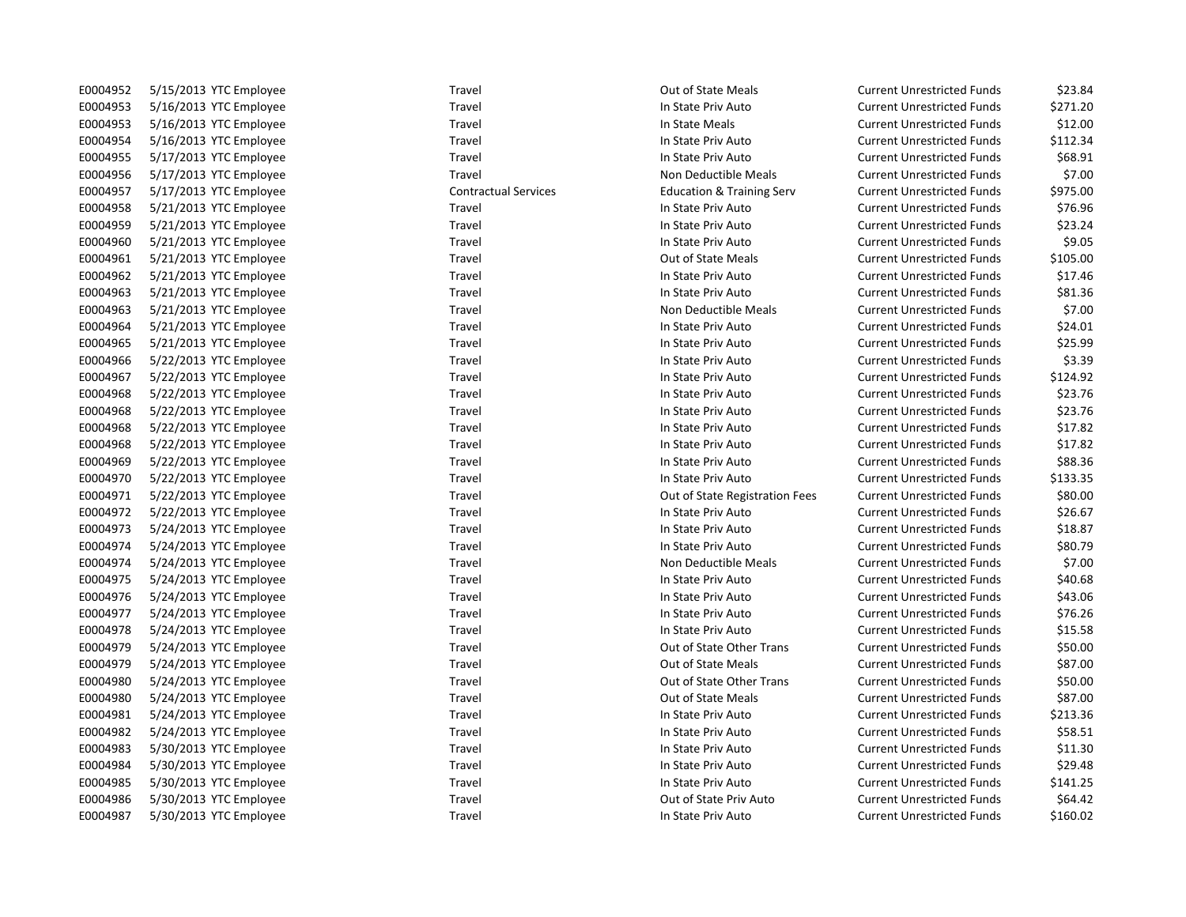| E0004952 | 5/15/2013 YTC Employee | Travel                      | Out of State Meals                   | <b>Current Unrestricted Funds</b> | \$23.84  |
|----------|------------------------|-----------------------------|--------------------------------------|-----------------------------------|----------|
| E0004953 | 5/16/2013 YTC Employee | Travel                      | In State Priv Auto                   | <b>Current Unrestricted Funds</b> | \$271.20 |
| E0004953 | 5/16/2013 YTC Employee | Travel                      | In State Meals                       | <b>Current Unrestricted Funds</b> | \$12.00  |
| E0004954 | 5/16/2013 YTC Employee | Travel                      | In State Priv Auto                   | <b>Current Unrestricted Funds</b> | \$112.34 |
| E0004955 | 5/17/2013 YTC Employee | Travel                      | In State Priv Auto                   | <b>Current Unrestricted Funds</b> | \$68.91  |
| E0004956 | 5/17/2013 YTC Employee | Travel                      | Non Deductible Meals                 | <b>Current Unrestricted Funds</b> | \$7.00   |
| E0004957 | 5/17/2013 YTC Employee | <b>Contractual Services</b> | <b>Education &amp; Training Serv</b> | <b>Current Unrestricted Funds</b> | \$975.00 |
| E0004958 | 5/21/2013 YTC Employee | Travel                      | In State Priv Auto                   | <b>Current Unrestricted Funds</b> | \$76.96  |
| E0004959 | 5/21/2013 YTC Employee | Travel                      | In State Priv Auto                   | <b>Current Unrestricted Funds</b> | \$23.24  |
| E0004960 | 5/21/2013 YTC Employee | Travel                      | In State Priv Auto                   | <b>Current Unrestricted Funds</b> | \$9.05   |
| E0004961 | 5/21/2013 YTC Employee | Travel                      | <b>Out of State Meals</b>            | <b>Current Unrestricted Funds</b> | \$105.00 |
| E0004962 | 5/21/2013 YTC Employee | Travel                      | In State Priv Auto                   | <b>Current Unrestricted Funds</b> | \$17.46  |
| E0004963 | 5/21/2013 YTC Employee | Travel                      | In State Priv Auto                   | <b>Current Unrestricted Funds</b> | \$81.36  |
| E0004963 | 5/21/2013 YTC Employee | Travel                      | Non Deductible Meals                 | <b>Current Unrestricted Funds</b> | \$7.00   |
| E0004964 | 5/21/2013 YTC Employee | Travel                      | In State Priv Auto                   | <b>Current Unrestricted Funds</b> | \$24.01  |
| E0004965 | 5/21/2013 YTC Employee | Travel                      | In State Priv Auto                   | <b>Current Unrestricted Funds</b> | \$25.99  |
| E0004966 | 5/22/2013 YTC Employee | Travel                      | In State Priv Auto                   | <b>Current Unrestricted Funds</b> | \$3.39   |
| E0004967 | 5/22/2013 YTC Employee | Travel                      | In State Priv Auto                   | <b>Current Unrestricted Funds</b> | \$124.92 |
| E0004968 | 5/22/2013 YTC Employee | Travel                      | In State Priv Auto                   | <b>Current Unrestricted Funds</b> | \$23.76  |
| E0004968 | 5/22/2013 YTC Employee | Travel                      | In State Priv Auto                   | <b>Current Unrestricted Funds</b> | \$23.76  |
| E0004968 | 5/22/2013 YTC Employee | Travel                      | In State Priv Auto                   | <b>Current Unrestricted Funds</b> | \$17.82  |
| E0004968 | 5/22/2013 YTC Employee | Travel                      | In State Priv Auto                   | <b>Current Unrestricted Funds</b> | \$17.82  |
| E0004969 | 5/22/2013 YTC Employee | Travel                      | In State Priv Auto                   | <b>Current Unrestricted Funds</b> | \$88.36  |
| E0004970 | 5/22/2013 YTC Employee | Travel                      | In State Priv Auto                   | <b>Current Unrestricted Funds</b> | \$133.35 |
| E0004971 | 5/22/2013 YTC Employee | Travel                      | Out of State Registration Fees       | <b>Current Unrestricted Funds</b> | \$80.00  |
| E0004972 | 5/22/2013 YTC Employee | Travel                      | In State Priv Auto                   | <b>Current Unrestricted Funds</b> | \$26.67  |
| E0004973 | 5/24/2013 YTC Employee | Travel                      | In State Priv Auto                   | <b>Current Unrestricted Funds</b> | \$18.87  |
| E0004974 | 5/24/2013 YTC Employee | Travel                      | In State Priv Auto                   | <b>Current Unrestricted Funds</b> | \$80.79  |
| E0004974 | 5/24/2013 YTC Employee | Travel                      | Non Deductible Meals                 | <b>Current Unrestricted Funds</b> | \$7.00   |
| E0004975 | 5/24/2013 YTC Employee | Travel                      | In State Priv Auto                   | <b>Current Unrestricted Funds</b> | \$40.68  |
| E0004976 | 5/24/2013 YTC Employee | Travel                      | In State Priv Auto                   | <b>Current Unrestricted Funds</b> | \$43.06  |
| E0004977 | 5/24/2013 YTC Employee | Travel                      | In State Priv Auto                   | <b>Current Unrestricted Funds</b> | \$76.26  |
| E0004978 | 5/24/2013 YTC Employee | Travel                      | In State Priv Auto                   | <b>Current Unrestricted Funds</b> | \$15.58  |
| E0004979 | 5/24/2013 YTC Employee | Travel                      | Out of State Other Trans             | <b>Current Unrestricted Funds</b> | \$50.00  |
| E0004979 | 5/24/2013 YTC Employee | Travel                      | <b>Out of State Meals</b>            | <b>Current Unrestricted Funds</b> | \$87.00  |
| E0004980 | 5/24/2013 YTC Employee | Travel                      | Out of State Other Trans             | <b>Current Unrestricted Funds</b> | \$50.00  |
| E0004980 | 5/24/2013 YTC Employee | Travel                      | Out of State Meals                   | <b>Current Unrestricted Funds</b> | \$87.00  |
| E0004981 | 5/24/2013 YTC Employee | Travel                      | In State Priv Auto                   | <b>Current Unrestricted Funds</b> | \$213.36 |
| E0004982 | 5/24/2013 YTC Employee | Travel                      | In State Priv Auto                   | <b>Current Unrestricted Funds</b> | \$58.51  |
| E0004983 | 5/30/2013 YTC Employee | Travel                      | In State Priv Auto                   | <b>Current Unrestricted Funds</b> | \$11.30  |
| E0004984 | 5/30/2013 YTC Employee | Travel                      | In State Priv Auto                   | <b>Current Unrestricted Funds</b> | \$29.48  |
| E0004985 | 5/30/2013 YTC Employee | Travel                      | In State Priv Auto                   | <b>Current Unrestricted Funds</b> | \$141.25 |
| E0004986 | 5/30/2013 YTC Employee | Travel                      | Out of State Priv Auto               | <b>Current Unrestricted Funds</b> | \$64.42  |
| E0004987 | 5/30/2013 YTC Employee | Travel                      | In State Priv Auto                   | <b>Current Unrestricted Funds</b> | \$160.02 |